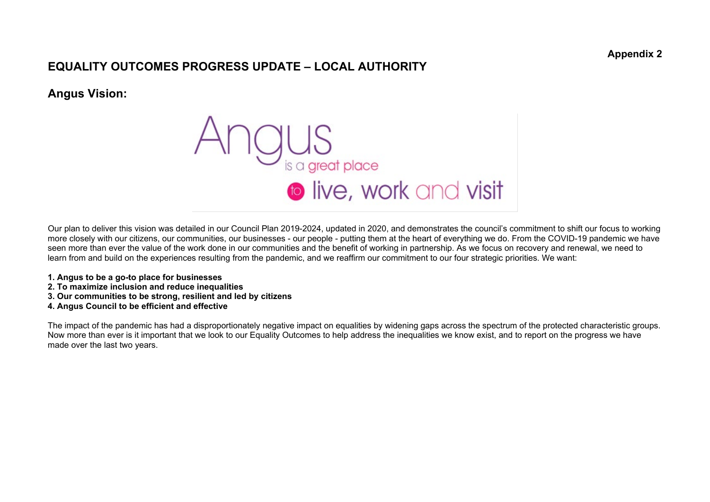## **Appendix 2**

# **EQUALITY OUTCOMES PROGRESS UPDATE – LOCAL AUTHORITY**

**Angus Vision:**



Our plan to deliver this vision was detailed in our Council Plan 2019-2024, updated in 2020, and demonstrates the council's commitment to shift our focus to working more closely with our citizens, our communities, our businesses - our people - putting them at the heart of everything we do. From the COVID-19 pandemic we have seen more than ever the value of the work done in our communities and the benefit of working in partnership. As we focus on recovery and renewal, we need to learn from and build on the experiences resulting from the pandemic, and we reaffirm our commitment to our four strategic priorities. We want:

- **1. Angus to be a go-to place for businesses**
- **2. To maximize inclusion and reduce inequalities**
- **3. Our communities to be strong, resilient and led by citizens**
- **4. Angus Council to be efficient and effective**

The impact of the pandemic has had a disproportionately negative impact on equalities by widening gaps across the spectrum of the protected characteristic groups. Now more than ever is it important that we look to our Equality Outcomes to help address the inequalities we know exist, and to report on the progress we have made over the last two years.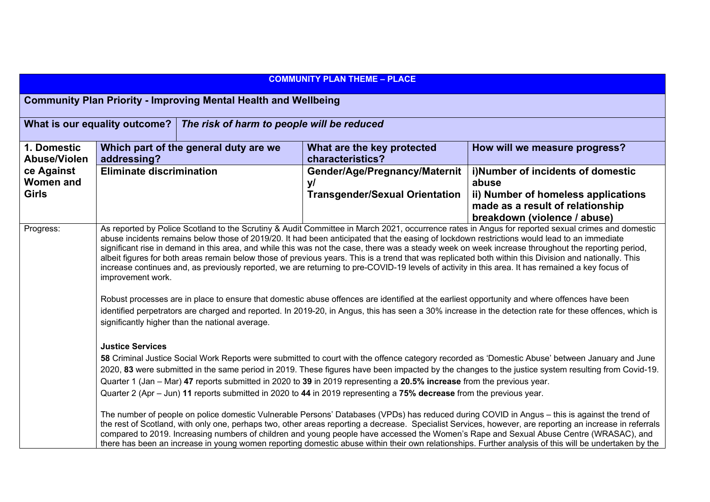|                                                | <b>COMMUNITY PLAN THEME - PLACE</b>                                                                                                                                                                                                                                                                                                                                                                                                                                                                                                                                                                                                                                                                                                                                                                                                                                                                                                                                                                                                                                                                                                                                                 |                                                                        |                                                                                                                                                                                                                                                |                                                                                                                                                                                                                                                                                                                                                                                                                                                                                                                                                                                                                                                                                                                                                                                                                                                                                                                       |  |  |
|------------------------------------------------|-------------------------------------------------------------------------------------------------------------------------------------------------------------------------------------------------------------------------------------------------------------------------------------------------------------------------------------------------------------------------------------------------------------------------------------------------------------------------------------------------------------------------------------------------------------------------------------------------------------------------------------------------------------------------------------------------------------------------------------------------------------------------------------------------------------------------------------------------------------------------------------------------------------------------------------------------------------------------------------------------------------------------------------------------------------------------------------------------------------------------------------------------------------------------------------|------------------------------------------------------------------------|------------------------------------------------------------------------------------------------------------------------------------------------------------------------------------------------------------------------------------------------|-----------------------------------------------------------------------------------------------------------------------------------------------------------------------------------------------------------------------------------------------------------------------------------------------------------------------------------------------------------------------------------------------------------------------------------------------------------------------------------------------------------------------------------------------------------------------------------------------------------------------------------------------------------------------------------------------------------------------------------------------------------------------------------------------------------------------------------------------------------------------------------------------------------------------|--|--|
|                                                |                                                                                                                                                                                                                                                                                                                                                                                                                                                                                                                                                                                                                                                                                                                                                                                                                                                                                                                                                                                                                                                                                                                                                                                     | <b>Community Plan Priority - Improving Mental Health and Wellbeing</b> |                                                                                                                                                                                                                                                |                                                                                                                                                                                                                                                                                                                                                                                                                                                                                                                                                                                                                                                                                                                                                                                                                                                                                                                       |  |  |
|                                                | What is our equality outcome?                                                                                                                                                                                                                                                                                                                                                                                                                                                                                                                                                                                                                                                                                                                                                                                                                                                                                                                                                                                                                                                                                                                                                       | The risk of harm to people will be reduced                             |                                                                                                                                                                                                                                                |                                                                                                                                                                                                                                                                                                                                                                                                                                                                                                                                                                                                                                                                                                                                                                                                                                                                                                                       |  |  |
| 1. Domestic<br><b>Abuse/Violen</b>             | addressing?                                                                                                                                                                                                                                                                                                                                                                                                                                                                                                                                                                                                                                                                                                                                                                                                                                                                                                                                                                                                                                                                                                                                                                         | Which part of the general duty are we                                  | What are the key protected<br>characteristics?                                                                                                                                                                                                 | How will we measure progress?                                                                                                                                                                                                                                                                                                                                                                                                                                                                                                                                                                                                                                                                                                                                                                                                                                                                                         |  |  |
| ce Against<br><b>Women and</b><br><b>Girls</b> | <b>Eliminate discrimination</b>                                                                                                                                                                                                                                                                                                                                                                                                                                                                                                                                                                                                                                                                                                                                                                                                                                                                                                                                                                                                                                                                                                                                                     |                                                                        | Gender/Age/Pregnancy/Maternit<br>y/<br><b>Transgender/Sexual Orientation</b>                                                                                                                                                                   | i)Number of incidents of domestic<br>abuse<br>ii) Number of homeless applications<br>made as a result of relationship<br>breakdown (violence / abuse)                                                                                                                                                                                                                                                                                                                                                                                                                                                                                                                                                                                                                                                                                                                                                                 |  |  |
| Progress:                                      | As reported by Police Scotland to the Scrutiny & Audit Committee in March 2021, occurrence rates in Angus for reported sexual crimes and domestic<br>abuse incidents remains below those of 2019/20. It had been anticipated that the easing of lockdown restrictions would lead to an immediate<br>significant rise in demand in this area, and while this was not the case, there was a steady week on week increase throughout the reporting period,<br>albeit figures for both areas remain below those of previous years. This is a trend that was replicated both within this Division and nationally. This<br>increase continues and, as previously reported, we are returning to pre-COVID-19 levels of activity in this area. It has remained a key focus of<br>improvement work.<br>Robust processes are in place to ensure that domestic abuse offences are identified at the earliest opportunity and where offences have been<br>identified perpetrators are charged and reported. In 2019-20, in Angus, this has seen a 30% increase in the detection rate for these offences, which is<br>significantly higher than the national average.<br><b>Justice Services</b> |                                                                        |                                                                                                                                                                                                                                                |                                                                                                                                                                                                                                                                                                                                                                                                                                                                                                                                                                                                                                                                                                                                                                                                                                                                                                                       |  |  |
|                                                |                                                                                                                                                                                                                                                                                                                                                                                                                                                                                                                                                                                                                                                                                                                                                                                                                                                                                                                                                                                                                                                                                                                                                                                     |                                                                        | Quarter 1 (Jan – Mar) 47 reports submitted in 2020 to 39 in 2019 representing a 20.5% increase from the previous year.<br>Quarter 2 (Apr - Jun) 11 reports submitted in 2020 to 44 in 2019 representing a 75% decrease from the previous year. | 58 Criminal Justice Social Work Reports were submitted to court with the offence category recorded as 'Domestic Abuse' between January and June<br>2020, 83 were submitted in the same period in 2019. These figures have been impacted by the changes to the justice system resulting from Covid-19.<br>The number of people on police domestic Vulnerable Persons' Databases (VPDs) has reduced during COVID in Angus - this is against the trend of<br>the rest of Scotland, with only one, perhaps two, other areas reporting a decrease. Specialist Services, however, are reporting an increase in referrals<br>compared to 2019. Increasing numbers of children and young people have accessed the Women's Rape and Sexual Abuse Centre (WRASAC), and<br>there has been an increase in young women reporting domestic abuse within their own relationships. Further analysis of this will be undertaken by the |  |  |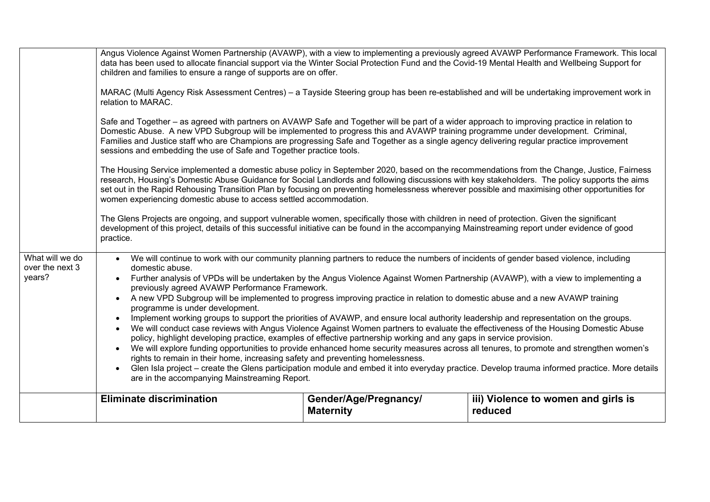|                                              | <b>Eliminate discrimination</b><br>Gender/Age/Pregnancy/<br>iii) Violence to women and girls is<br><b>Maternity</b><br>reduced                                                                                                                                                                                                                                                                                                                                                                                                                                                                                                                                                                                                                                                                                                                                                                                                                                                                                                                                                                                                                                                                                                                                                                                                                                                                |  |  |  |  |  |
|----------------------------------------------|-----------------------------------------------------------------------------------------------------------------------------------------------------------------------------------------------------------------------------------------------------------------------------------------------------------------------------------------------------------------------------------------------------------------------------------------------------------------------------------------------------------------------------------------------------------------------------------------------------------------------------------------------------------------------------------------------------------------------------------------------------------------------------------------------------------------------------------------------------------------------------------------------------------------------------------------------------------------------------------------------------------------------------------------------------------------------------------------------------------------------------------------------------------------------------------------------------------------------------------------------------------------------------------------------------------------------------------------------------------------------------------------------|--|--|--|--|--|
| What will we do<br>over the next 3<br>years? | We will continue to work with our community planning partners to reduce the numbers of incidents of gender based violence, including<br>$\bullet$<br>domestic abuse.<br>Further analysis of VPDs will be undertaken by the Angus Violence Against Women Partnership (AVAWP), with a view to implementing a<br>previously agreed AVAWP Performance Framework.<br>A new VPD Subgroup will be implemented to progress improving practice in relation to domestic abuse and a new AVAWP training<br>programme is under development.<br>Implement working groups to support the priorities of AVAWP, and ensure local authority leadership and representation on the groups.<br>$\bullet$<br>We will conduct case reviews with Angus Violence Against Women partners to evaluate the effectiveness of the Housing Domestic Abuse<br>policy, highlight developing practice, examples of effective partnership working and any gaps in service provision.<br>We will explore funding opportunities to provide enhanced home security measures across all tenures, to promote and strengthen women's<br>$\bullet$<br>rights to remain in their home, increasing safety and preventing homelessness.<br>Glen Isla project – create the Glens participation module and embed it into everyday practice. Develop trauma informed practice. More details<br>are in the accompanying Mainstreaming Report. |  |  |  |  |  |
|                                              | The Housing Service implemented a domestic abuse policy in September 2020, based on the recommendations from the Change, Justice, Fairness<br>research, Housing's Domestic Abuse Guidance for Social Landlords and following discussions with key stakeholders. The policy supports the aims<br>set out in the Rapid Rehousing Transition Plan by focusing on preventing homelessness wherever possible and maximising other opportunities for<br>women experiencing domestic abuse to access settled accommodation.<br>The Glens Projects are ongoing, and support vulnerable women, specifically those with children in need of protection. Given the significant<br>development of this project, details of this successful initiative can be found in the accompanying Mainstreaming report under evidence of good<br>practice.                                                                                                                                                                                                                                                                                                                                                                                                                                                                                                                                                           |  |  |  |  |  |
|                                              | MARAC (Multi Agency Risk Assessment Centres) – a Tayside Steering group has been re-established and will be undertaking improvement work in<br>relation to MARAC.<br>Safe and Together - as agreed with partners on AVAWP Safe and Together will be part of a wider approach to improving practice in relation to<br>Domestic Abuse. A new VPD Subgroup will be implemented to progress this and AVAWP training programme under development. Criminal,<br>Families and Justice staff who are Champions are progressing Safe and Together as a single agency delivering regular practice improvement<br>sessions and embedding the use of Safe and Together practice tools.                                                                                                                                                                                                                                                                                                                                                                                                                                                                                                                                                                                                                                                                                                                    |  |  |  |  |  |
|                                              | Angus Violence Against Women Partnership (AVAWP), with a view to implementing a previously agreed AVAWP Performance Framework. This local<br>data has been used to allocate financial support via the Winter Social Protection Fund and the Covid-19 Mental Health and Wellbeing Support for<br>children and families to ensure a range of supports are on offer.                                                                                                                                                                                                                                                                                                                                                                                                                                                                                                                                                                                                                                                                                                                                                                                                                                                                                                                                                                                                                             |  |  |  |  |  |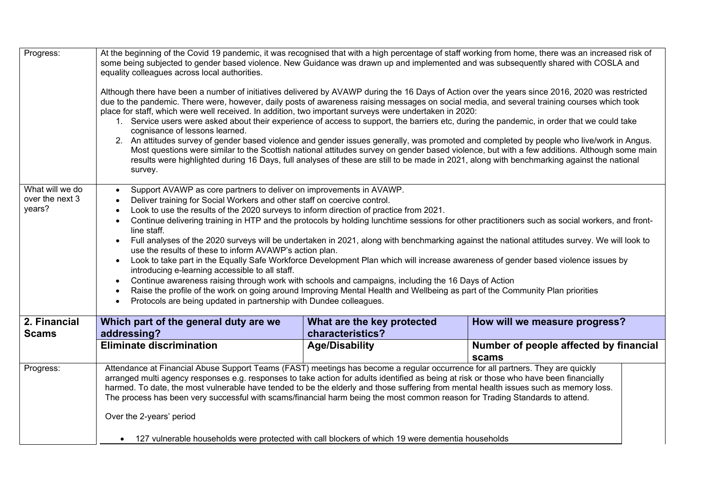| Progress:       | At the beginning of the Covid 19 pandemic, it was recognised that with a high percentage of staff working from home, there was an increased risk of<br>some being subjected to gender based violence. New Guidance was drawn up and implemented and was subsequently shared with COSLA and<br>equality colleagues across local authorities.                                                                                                                                                                                                                                                                                                                                                                                                                                                                                                                                                                                                                                                                                                      |                            |                               |  |  |
|-----------------|--------------------------------------------------------------------------------------------------------------------------------------------------------------------------------------------------------------------------------------------------------------------------------------------------------------------------------------------------------------------------------------------------------------------------------------------------------------------------------------------------------------------------------------------------------------------------------------------------------------------------------------------------------------------------------------------------------------------------------------------------------------------------------------------------------------------------------------------------------------------------------------------------------------------------------------------------------------------------------------------------------------------------------------------------|----------------------------|-------------------------------|--|--|
|                 | Although there have been a number of initiatives delivered by AVAWP during the 16 Days of Action over the years since 2016, 2020 was restricted<br>due to the pandemic. There were, however, daily posts of awareness raising messages on social media, and several training courses which took<br>place for staff, which were well received. In addition, two important surveys were undertaken in 2020:<br>1. Service users were asked about their experience of access to support, the barriers etc, during the pandemic, in order that we could take<br>cognisance of lessons learned.<br>2. An attitudes survey of gender based violence and gender issues generally, was promoted and completed by people who live/work in Angus.<br>Most questions were similar to the Scottish national attitudes survey on gender based violence, but with a few additions. Although some main<br>results were highlighted during 16 Days, full analyses of these are still to be made in 2021, along with benchmarking against the national<br>survey. |                            |                               |  |  |
| What will we do | Support AVAWP as core partners to deliver on improvements in AVAWP.<br>$\bullet$                                                                                                                                                                                                                                                                                                                                                                                                                                                                                                                                                                                                                                                                                                                                                                                                                                                                                                                                                                 |                            |                               |  |  |
| over the next 3 | Deliver training for Social Workers and other staff on coercive control.<br>$\bullet$                                                                                                                                                                                                                                                                                                                                                                                                                                                                                                                                                                                                                                                                                                                                                                                                                                                                                                                                                            |                            |                               |  |  |
| years?          | Look to use the results of the 2020 surveys to inform direction of practice from 2021.<br>$\bullet$<br>Continue delivering training in HTP and the protocols by holding lunchtime sessions for other practitioners such as social workers, and front-<br>$\bullet$                                                                                                                                                                                                                                                                                                                                                                                                                                                                                                                                                                                                                                                                                                                                                                               |                            |                               |  |  |
|                 | line staff.                                                                                                                                                                                                                                                                                                                                                                                                                                                                                                                                                                                                                                                                                                                                                                                                                                                                                                                                                                                                                                      |                            |                               |  |  |
|                 | Full analyses of the 2020 surveys will be undertaken in 2021, along with benchmarking against the national attitudes survey. We will look to<br>$\bullet$                                                                                                                                                                                                                                                                                                                                                                                                                                                                                                                                                                                                                                                                                                                                                                                                                                                                                        |                            |                               |  |  |
|                 | use the results of these to inform AVAWP's action plan.                                                                                                                                                                                                                                                                                                                                                                                                                                                                                                                                                                                                                                                                                                                                                                                                                                                                                                                                                                                          |                            |                               |  |  |
|                 | Look to take part in the Equally Safe Workforce Development Plan which will increase awareness of gender based violence issues by<br>$\bullet$<br>introducing e-learning accessible to all staff.                                                                                                                                                                                                                                                                                                                                                                                                                                                                                                                                                                                                                                                                                                                                                                                                                                                |                            |                               |  |  |
|                 | Continue awareness raising through work with schools and campaigns, including the 16 Days of Action<br>$\bullet$                                                                                                                                                                                                                                                                                                                                                                                                                                                                                                                                                                                                                                                                                                                                                                                                                                                                                                                                 |                            |                               |  |  |
|                 | Raise the profile of the work on going around Improving Mental Health and Wellbeing as part of the Community Plan priorities<br>$\bullet$                                                                                                                                                                                                                                                                                                                                                                                                                                                                                                                                                                                                                                                                                                                                                                                                                                                                                                        |                            |                               |  |  |
|                 | Protocols are being updated in partnership with Dundee colleagues.<br>$\bullet$                                                                                                                                                                                                                                                                                                                                                                                                                                                                                                                                                                                                                                                                                                                                                                                                                                                                                                                                                                  |                            |                               |  |  |
| 2. Financial    | Which part of the general duty are we                                                                                                                                                                                                                                                                                                                                                                                                                                                                                                                                                                                                                                                                                                                                                                                                                                                                                                                                                                                                            | What are the key protected | How will we measure progress? |  |  |
| <b>Scams</b>    | addressing?                                                                                                                                                                                                                                                                                                                                                                                                                                                                                                                                                                                                                                                                                                                                                                                                                                                                                                                                                                                                                                      | characteristics?           |                               |  |  |
|                 | <b>Eliminate discrimination</b><br><b>Age/Disability</b><br>Number of people affected by financial<br>scams                                                                                                                                                                                                                                                                                                                                                                                                                                                                                                                                                                                                                                                                                                                                                                                                                                                                                                                                      |                            |                               |  |  |
| Progress:       | Attendance at Financial Abuse Support Teams (FAST) meetings has become a regular occurrence for all partners. They are quickly<br>arranged multi agency responses e.g. responses to take action for adults identified as being at risk or those who have been financially<br>harmed. To date, the most vulnerable have tended to be the elderly and those suffering from mental health issues such as memory loss.<br>The process has been very successful with scams/financial harm being the most common reason for Trading Standards to attend.                                                                                                                                                                                                                                                                                                                                                                                                                                                                                               |                            |                               |  |  |
|                 | Over the 2-years' period                                                                                                                                                                                                                                                                                                                                                                                                                                                                                                                                                                                                                                                                                                                                                                                                                                                                                                                                                                                                                         |                            |                               |  |  |
|                 | • 127 vulnerable households were protected with call blockers of which 19 were dementia households                                                                                                                                                                                                                                                                                                                                                                                                                                                                                                                                                                                                                                                                                                                                                                                                                                                                                                                                               |                            |                               |  |  |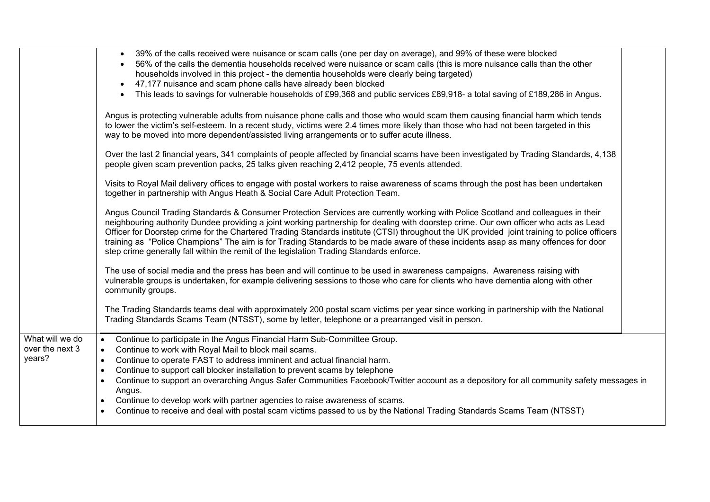|                                              | 39% of the calls received were nuisance or scam calls (one per day on average), and 99% of these were blocked<br>$\bullet$<br>56% of the calls the dementia households received were nuisance or scam calls (this is more nuisance calls than the other<br>$\bullet$                                                                                                                                                                                                                                                                                                                                                                                         |  |
|----------------------------------------------|--------------------------------------------------------------------------------------------------------------------------------------------------------------------------------------------------------------------------------------------------------------------------------------------------------------------------------------------------------------------------------------------------------------------------------------------------------------------------------------------------------------------------------------------------------------------------------------------------------------------------------------------------------------|--|
|                                              | households involved in this project - the dementia households were clearly being targeted)<br>47,177 nuisance and scam phone calls have already been blocked<br>$\bullet$                                                                                                                                                                                                                                                                                                                                                                                                                                                                                    |  |
|                                              | This leads to savings for vulnerable households of £99,368 and public services £89,918- a total saving of £189,286 in Angus.<br>$\bullet$                                                                                                                                                                                                                                                                                                                                                                                                                                                                                                                    |  |
|                                              | Angus is protecting vulnerable adults from nuisance phone calls and those who would scam them causing financial harm which tends<br>to lower the victim's self-esteem. In a recent study, victims were 2.4 times more likely than those who had not been targeted in this<br>way to be moved into more dependent/assisted living arrangements or to suffer acute illness.                                                                                                                                                                                                                                                                                    |  |
|                                              | Over the last 2 financial years, 341 complaints of people affected by financial scams have been investigated by Trading Standards, 4,138<br>people given scam prevention packs, 25 talks given reaching 2,412 people, 75 events attended.                                                                                                                                                                                                                                                                                                                                                                                                                    |  |
|                                              | Visits to Royal Mail delivery offices to engage with postal workers to raise awareness of scams through the post has been undertaken<br>together in partnership with Angus Heath & Social Care Adult Protection Team.                                                                                                                                                                                                                                                                                                                                                                                                                                        |  |
|                                              | Angus Council Trading Standards & Consumer Protection Services are currently working with Police Scotland and colleagues in their<br>neighbouring authority Dundee providing a joint working partnership for dealing with doorstep crime. Our own officer who acts as Lead<br>Officer for Doorstep crime for the Chartered Trading Standards institute (CTSI) throughout the UK provided joint training to police officers<br>training as "Police Champions" The aim is for Trading Standards to be made aware of these incidents asap as many offences for door<br>step crime generally fall within the remit of the legislation Trading Standards enforce. |  |
|                                              | The use of social media and the press has been and will continue to be used in awareness campaigns. Awareness raising with<br>vulnerable groups is undertaken, for example delivering sessions to those who care for clients who have dementia along with other<br>community groups.                                                                                                                                                                                                                                                                                                                                                                         |  |
|                                              | The Trading Standards teams deal with approximately 200 postal scam victims per year since working in partnership with the National<br>Trading Standards Scams Team (NTSST), some by letter, telephone or a prearranged visit in person.                                                                                                                                                                                                                                                                                                                                                                                                                     |  |
| What will we do<br>over the next 3<br>years? | Continue to participate in the Angus Financial Harm Sub-Committee Group.<br>Continue to work with Royal Mail to block mail scams.<br>$\bullet$<br>Continue to operate FAST to address imminent and actual financial harm.<br>$\bullet$<br>Continue to support call blocker installation to prevent scams by telephone<br>$\bullet$<br>Continue to support an overarching Angus Safer Communities Facebook/Twitter account as a depository for all community safety messages in<br>$\bullet$<br>Angus.                                                                                                                                                        |  |
|                                              | Continue to develop work with partner agencies to raise awareness of scams.<br>Continue to receive and deal with postal scam victims passed to us by the National Trading Standards Scams Team (NTSST)                                                                                                                                                                                                                                                                                                                                                                                                                                                       |  |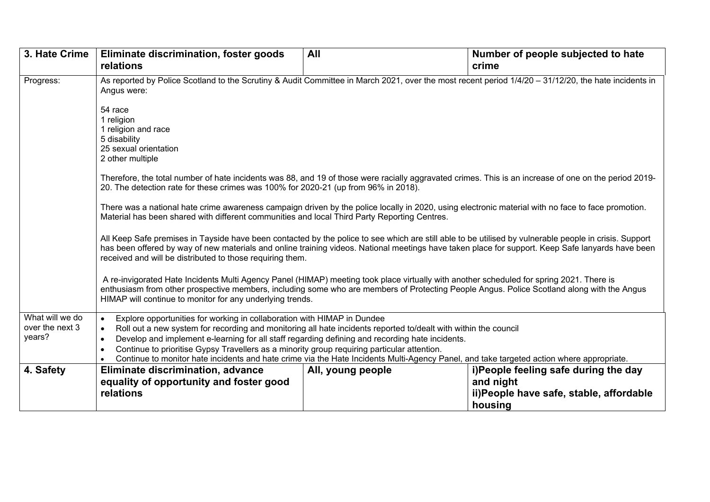| 3. Hate Crime                                | Eliminate discrimination, foster goods<br>relations                                                                                                                                                                                                                                                                                                                                                                                                                                                                                                                                                                                                                                                                                                                                    | All                                                                                                                          | Number of people subjected to hate<br>crime |  |
|----------------------------------------------|----------------------------------------------------------------------------------------------------------------------------------------------------------------------------------------------------------------------------------------------------------------------------------------------------------------------------------------------------------------------------------------------------------------------------------------------------------------------------------------------------------------------------------------------------------------------------------------------------------------------------------------------------------------------------------------------------------------------------------------------------------------------------------------|------------------------------------------------------------------------------------------------------------------------------|---------------------------------------------|--|
| Progress:                                    | As reported by Police Scotland to the Scrutiny & Audit Committee in March 2021, over the most recent period 1/4/20 - 31/12/20, the hate incidents in<br>Angus were:<br>54 race<br>1 religion<br>1 religion and race<br>5 disability<br>25 sexual orientation<br>2 other multiple<br>Therefore, the total number of hate incidents was 88, and 19 of those were racially aggravated crimes. This is an increase of one on the period 2019-<br>20. The detection rate for these crimes was 100% for 2020-21 (up from 96% in 2018).<br>There was a national hate crime awareness campaign driven by the police locally in 2020, using electronic material with no face to face promotion.<br>Material has been shared with different communities and local Third Party Reporting Centres. |                                                                                                                              |                                             |  |
|                                              | All Keep Safe premises in Tayside have been contacted by the police to see which are still able to be utilised by vulnerable people in crisis. Support<br>has been offered by way of new materials and online training videos. National meetings have taken place for support. Keep Safe lanyards have been<br>received and will be distributed to those requiring them.                                                                                                                                                                                                                                                                                                                                                                                                               |                                                                                                                              |                                             |  |
|                                              | A re-invigorated Hate Incidents Multi Agency Panel (HIMAP) meeting took place virtually with another scheduled for spring 2021. There is<br>enthusiasm from other prospective members, including some who are members of Protecting People Angus. Police Scotland along with the Angus<br>HIMAP will continue to monitor for any underlying trends.                                                                                                                                                                                                                                                                                                                                                                                                                                    |                                                                                                                              |                                             |  |
| What will we do<br>over the next 3<br>years? | Explore opportunities for working in collaboration with HIMAP in Dundee<br>Roll out a new system for recording and monitoring all hate incidents reported to/dealt with within the council<br>Develop and implement e-learning for all staff regarding defining and recording hate incidents.<br>$\bullet$<br>Continue to prioritise Gypsy Travellers as a minority group requiring particular attention.<br>$\bullet$<br>Continue to monitor hate incidents and hate crime via the Hate Incidents Multi-Agency Panel, and take targeted action where appropriate.<br>$\bullet$                                                                                                                                                                                                        |                                                                                                                              |                                             |  |
| 4. Safety                                    | Eliminate discrimination, advance<br>equality of opportunity and foster good<br>relations                                                                                                                                                                                                                                                                                                                                                                                                                                                                                                                                                                                                                                                                                              | All, young people<br>i)People feeling safe during the day<br>and night<br>ii)People have safe, stable, affordable<br>housing |                                             |  |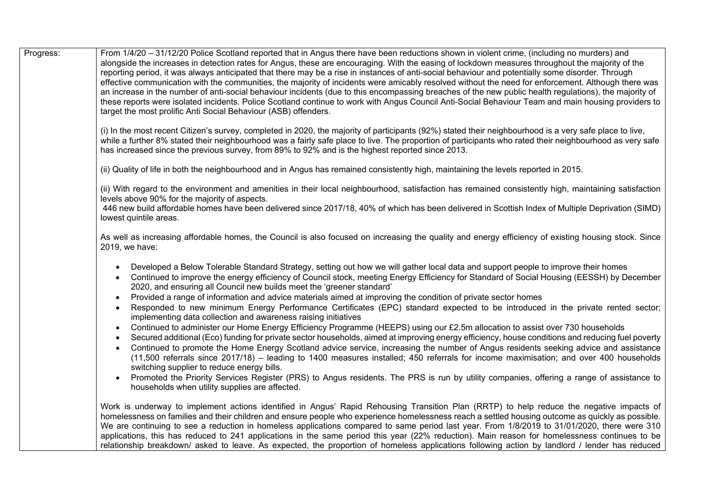| Progress: | From 1/4/20 - 31/12/20 Police Scotland reported that in Angus there have been reductions shown in violent crime, (including no murders) and<br>alongside the increases in detection rates for Angus, these are encouraging. With the easing of lockdown measures throughout the majority of the<br>reporting period, it was always anticipated that there may be a rise in instances of anti-social behaviour and potentially some disorder. Through<br>effective communication with the communities, the majority of incidents were amicably resolved without the need for enforcement. Although there was<br>an increase in the number of anti-social behaviour incidents (due to this encompassing breaches of the new public health regulations), the majority of<br>these reports were isolated incidents. Police Scotland continue to work with Angus Council Anti-Social Behaviour Team and main housing providers to<br>target the most prolific Anti Social Behaviour (ASB) offenders. |
|-----------|-------------------------------------------------------------------------------------------------------------------------------------------------------------------------------------------------------------------------------------------------------------------------------------------------------------------------------------------------------------------------------------------------------------------------------------------------------------------------------------------------------------------------------------------------------------------------------------------------------------------------------------------------------------------------------------------------------------------------------------------------------------------------------------------------------------------------------------------------------------------------------------------------------------------------------------------------------------------------------------------------|
|           | (i) In the most recent Citizen's survey, completed in 2020, the majority of participants (92%) stated their neighbourhood is a very safe place to live,<br>while a further 8% stated their neighbourhood was a fairly safe place to live. The proportion of participants who rated their neighbourhood as very safe<br>has increased since the previous survey, from 89% to 92% and is the highest reported since 2013.                                                                                                                                                                                                                                                                                                                                                                                                                                                                                                                                                                         |
|           | (ii) Quality of life in both the neighbourhood and in Angus has remained consistently high, maintaining the levels reported in 2015.                                                                                                                                                                                                                                                                                                                                                                                                                                                                                                                                                                                                                                                                                                                                                                                                                                                            |
|           | (ii) With regard to the environment and amenities in their local neighbourhood, satisfaction has remained consistently high, maintaining satisfaction<br>levels above 90% for the majority of aspects.                                                                                                                                                                                                                                                                                                                                                                                                                                                                                                                                                                                                                                                                                                                                                                                          |
|           | 446 new build affordable homes have been delivered since 2017/18, 40% of which has been delivered in Scottish Index of Multiple Deprivation (SIMD)<br>lowest quintile areas.                                                                                                                                                                                                                                                                                                                                                                                                                                                                                                                                                                                                                                                                                                                                                                                                                    |
|           | As well as increasing affordable homes, the Council is also focused on increasing the quality and energy efficiency of existing housing stock. Since<br>2019, we have:                                                                                                                                                                                                                                                                                                                                                                                                                                                                                                                                                                                                                                                                                                                                                                                                                          |
|           | Developed a Below Tolerable Standard Strategy, setting out how we will gather local data and support people to improve their homes<br>Continued to improve the energy efficiency of Council stock, meeting Energy Efficiency for Standard of Social Housing (EESSH) by December<br>2020, and ensuring all Council new builds meet the 'greener standard'<br>Provided a range of information and advice materials aimed at improving the condition of private sector homes<br>$\bullet$                                                                                                                                                                                                                                                                                                                                                                                                                                                                                                          |
|           | Responded to new minimum Energy Performance Certificates (EPC) standard expected to be introduced in the private rented sector;<br>$\bullet$<br>implementing data collection and awareness raising initiatives                                                                                                                                                                                                                                                                                                                                                                                                                                                                                                                                                                                                                                                                                                                                                                                  |
|           | Continued to administer our Home Energy Efficiency Programme (HEEPS) using our £2.5m allocation to assist over 730 households<br>$\bullet$<br>Secured additional (Eco) funding for private sector households, aimed at improving energy efficiency, house conditions and reducing fuel poverty<br>Continued to promote the Home Energy Scotland advice service, increasing the number of Angus residents seeking advice and assistance<br>(11,500 referrals since 2017/18) – leading to 1400 measures installed; 450 referrals for income maximisation; and over 400 households<br>switching supplier to reduce energy bills.                                                                                                                                                                                                                                                                                                                                                                   |
|           | Promoted the Priority Services Register (PRS) to Angus residents. The PRS is run by utility companies, offering a range of assistance to<br>households when utility supplies are affected.                                                                                                                                                                                                                                                                                                                                                                                                                                                                                                                                                                                                                                                                                                                                                                                                      |
|           | Work is underway to implement actions identified in Angus' Rapid Rehousing Transition Plan (RRTP) to help reduce the negative impacts of<br>homelessness on families and their children and ensure people who experience homelessness reach a settled housing outcome as quickly as possible.<br>We are continuing to see a reduction in homeless applications compared to same period last year. From 1/8/2019 to 31/01/2020, there were 310<br>applications, this has reduced to 241 applications in the same period this year (22% reduction). Main reason for homelessness continues to be<br>relationship breakdown/ asked to leave. As expected, the proportion of homeless applications following action by landlord / lender has reduced                                                                                                                                                                                                                                                |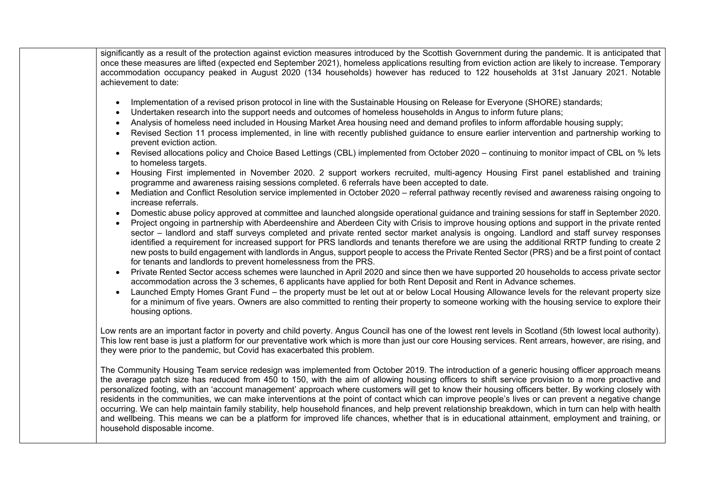significantly as a result of the protection against eviction measures introduced by the Scottish Government during the pandemic. It is anticipated that once these measures are lifted (expected end September 2021), homeless applications resulting from eviction action are likely to increase. Temporary accommodation occupancy peaked in August 2020 (134 households) however has reduced to 122 households at 31st January 2021. Notable achievement to date:

- Implementation of a revised prison protocol in line with the Sustainable Housing on Release for Everyone (SHORE) standards;
- Undertaken research into the support needs and outcomes of homeless households in Angus to inform future plans;
- Analysis of homeless need included in Housing Market Area housing need and demand profiles to inform affordable housing supply;
- Revised Section 11 process implemented, in line with recently published guidance to ensure earlier intervention and partnership working to prevent eviction action.
- Revised allocations policy and Choice Based Lettings (CBL) implemented from October 2020 continuing to monitor impact of CBL on % lets to homeless targets.
- Housing First implemented in November 2020. 2 support workers recruited, multi-agency Housing First panel established and training programme and awareness raising sessions completed. 6 referrals have been accepted to date.
- Mediation and Conflict Resolution service implemented in October 2020 referral pathway recently revised and awareness raising ongoing to increase referrals.
- Domestic abuse policy approved at committee and launched alongside operational guidance and training sessions for staff in September 2020.
- Project ongoing in partnership with Aberdeenshire and Aberdeen City with Crisis to improve housing options and support in the private rented sector – landlord and staff surveys completed and private rented sector market analysis is ongoing. Landlord and staff survey responses identified a requirement for increased support for PRS landlords and tenants therefore we are using the additional RRTP funding to create 2 new posts to build engagement with landlords in Angus, support people to access the Private Rented Sector (PRS) and be a first point of contact for tenants and landlords to prevent homelessness from the PRS.
- Private Rented Sector access schemes were launched in April 2020 and since then we have supported 20 households to access private sector accommodation across the 3 schemes, 6 applicants have applied for both Rent Deposit and Rent in Advance schemes.
- Launched Empty Homes Grant Fund the property must be let out at or below Local Housing Allowance levels for the relevant property size for a minimum of five years. Owners are also committed to renting their property to someone working with the housing service to explore their housing options.

Low rents are an important factor in poverty and child poverty. Angus Council has one of the lowest rent levels in Scotland (5th lowest local authority). This low rent base is just a platform for our preventative work which is more than just our core Housing services. Rent arrears, however, are rising, and they were prior to the pandemic, but Covid has exacerbated this problem.

The Community Housing Team service redesign was implemented from October 2019. The introduction of a generic housing officer approach means the average patch size has reduced from 450 to 150, with the aim of allowing housing officers to shift service provision to a more proactive and personalized footing, with an 'account management' approach where customers will get to know their housing officers better. By working closely with residents in the communities, we can make interventions at the point of contact which can improve people's lives or can prevent a negative change occurring. We can help maintain family stability, help household finances, and help prevent relationship breakdown, which in turn can help with health and wellbeing. This means we can be a platform for improved life chances, whether that is in educational attainment, employment and training, or household disposable income.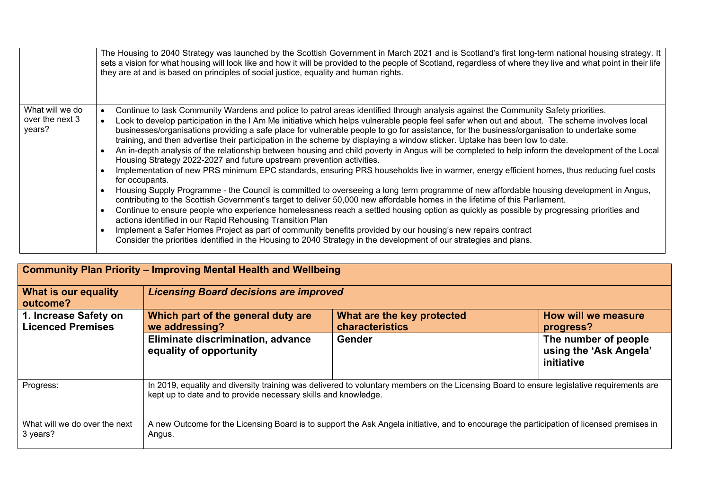|                                              | The Housing to 2040 Strategy was launched by the Scottish Government in March 2021 and is Scotland's first long-term national housing strategy. It<br>sets a vision for what housing will look like and how it will be provided to the people of Scotland, regardless of where they live and what point in their life<br>they are at and is based on principles of social justice, equality and human rights.                                                                                                                                                                                                                                                                                                                                                                                                                                                                                                                                                                                                                                                                                                                                                                                                                                                                                                                                                                                                                                                                                                                                                                                                                                                                             |
|----------------------------------------------|-------------------------------------------------------------------------------------------------------------------------------------------------------------------------------------------------------------------------------------------------------------------------------------------------------------------------------------------------------------------------------------------------------------------------------------------------------------------------------------------------------------------------------------------------------------------------------------------------------------------------------------------------------------------------------------------------------------------------------------------------------------------------------------------------------------------------------------------------------------------------------------------------------------------------------------------------------------------------------------------------------------------------------------------------------------------------------------------------------------------------------------------------------------------------------------------------------------------------------------------------------------------------------------------------------------------------------------------------------------------------------------------------------------------------------------------------------------------------------------------------------------------------------------------------------------------------------------------------------------------------------------------------------------------------------------------|
| What will we do<br>over the next 3<br>years? | Continue to task Community Wardens and police to patrol areas identified through analysis against the Community Safety priorities.<br>Look to develop participation in the I Am Me initiative which helps vulnerable people feel safer when out and about. The scheme involves local<br>businesses/organisations providing a safe place for vulnerable people to go for assistance, for the business/organisation to undertake some<br>training, and then advertise their participation in the scheme by displaying a window sticker. Uptake has been low to date.<br>An in-depth analysis of the relationship between housing and child poverty in Angus will be completed to help inform the development of the Local<br>Housing Strategy 2022-2027 and future upstream prevention activities.<br>Implementation of new PRS minimum EPC standards, ensuring PRS households live in warmer, energy efficient homes, thus reducing fuel costs<br>for occupants.<br>Housing Supply Programme - the Council is committed to overseeing a long term programme of new affordable housing development in Angus,<br>contributing to the Scottish Government's target to deliver 50,000 new affordable homes in the lifetime of this Parliament.<br>Continue to ensure people who experience homelessness reach a settled housing option as quickly as possible by progressing priorities and<br>actions identified in our Rapid Rehousing Transition Plan<br>Implement a Safer Homes Project as part of community benefits provided by our housing's new repairs contract<br>Consider the priorities identified in the Housing to 2040 Strategy in the development of our strategies and plans. |

| <b>Community Plan Priority – Improving Mental Health and Wellbeing</b> |                                                                                                                                                                                                             |                                               |                                                              |  |
|------------------------------------------------------------------------|-------------------------------------------------------------------------------------------------------------------------------------------------------------------------------------------------------------|-----------------------------------------------|--------------------------------------------------------------|--|
| What is our equality<br>outcome?                                       | <b>Licensing Board decisions are improved</b>                                                                                                                                                               |                                               |                                                              |  |
| 1. Increase Safety on<br><b>Licenced Premises</b>                      | Which part of the general duty are<br>we addressing?                                                                                                                                                        | What are the key protected<br>characteristics | How will we measure<br>progress?                             |  |
|                                                                        | Eliminate discrimination, advance<br>equality of opportunity                                                                                                                                                | Gender                                        | The number of people<br>using the 'Ask Angela'<br>initiative |  |
| Progress:                                                              | In 2019, equality and diversity training was delivered to voluntary members on the Licensing Board to ensure legislative requirements are<br>kept up to date and to provide necessary skills and knowledge. |                                               |                                                              |  |
| What will we do over the next<br>3 years?                              | A new Outcome for the Licensing Board is to support the Ask Angela initiative, and to encourage the participation of licensed premises in<br>Angus.                                                         |                                               |                                                              |  |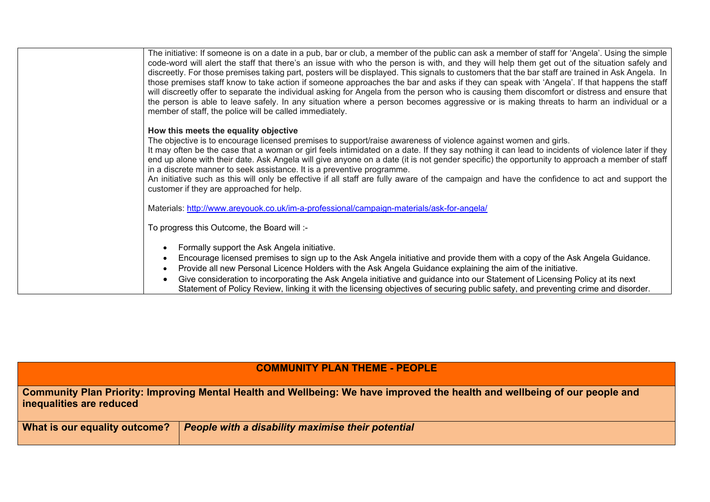| The initiative: If someone is on a date in a pub, bar or club, a member of the public can ask a member of staff for 'Angela'. Using the simple<br>code-word will alert the staff that there's an issue with who the person is with, and they will help them get out of the situation safely and<br>discreetly. For those premises taking part, posters will be displayed. This signals to customers that the bar staff are trained in Ask Angela. In<br>those premises staff know to take action if someone approaches the bar and asks if they can speak with 'Angela'. If that happens the staff<br>will discreetly offer to separate the individual asking for Angela from the person who is causing them discomfort or distress and ensure that<br>the person is able to leave safely. In any situation where a person becomes aggressive or is making threats to harm an individual or a<br>member of staff, the police will be called immediately. |
|----------------------------------------------------------------------------------------------------------------------------------------------------------------------------------------------------------------------------------------------------------------------------------------------------------------------------------------------------------------------------------------------------------------------------------------------------------------------------------------------------------------------------------------------------------------------------------------------------------------------------------------------------------------------------------------------------------------------------------------------------------------------------------------------------------------------------------------------------------------------------------------------------------------------------------------------------------|
| How this meets the equality objective<br>The objective is to encourage licensed premises to support/raise awareness of violence against women and girls.<br>It may often be the case that a woman or girl feels intimidated on a date. If they say nothing it can lead to incidents of violence later if they<br>end up alone with their date. Ask Angela will give anyone on a date (it is not gender specific) the opportunity to approach a member of staff<br>in a discrete manner to seek assistance. It is a preventive programme.<br>An initiative such as this will only be effective if all staff are fully aware of the campaign and have the confidence to act and support the<br>customer if they are approached for help.                                                                                                                                                                                                                   |
| Materials: http://www.areyouok.co.uk/im-a-professional/campaign-materials/ask-for-angela/                                                                                                                                                                                                                                                                                                                                                                                                                                                                                                                                                                                                                                                                                                                                                                                                                                                                |
| To progress this Outcome, the Board will :-                                                                                                                                                                                                                                                                                                                                                                                                                                                                                                                                                                                                                                                                                                                                                                                                                                                                                                              |
| Formally support the Ask Angela initiative.<br>Encourage licensed premises to sign up to the Ask Angela initiative and provide them with a copy of the Ask Angela Guidance.<br>Provide all new Personal Licence Holders with the Ask Angela Guidance explaining the aim of the initiative.<br>Give consideration to incorporating the Ask Angela initiative and guidance into our Statement of Licensing Policy at its next<br>Statement of Policy Review, linking it with the licensing objectives of securing public safety, and preventing crime and disorder.                                                                                                                                                                                                                                                                                                                                                                                        |

# **COMMUNITY PLAN THEME - PEOPLE**

**Community Plan Priority: Improving Mental Health and Wellbeing: We have improved the health and wellbeing of our people and inequalities are reduced**

**What is our equality outcome?** *People with a disability maximise their potential*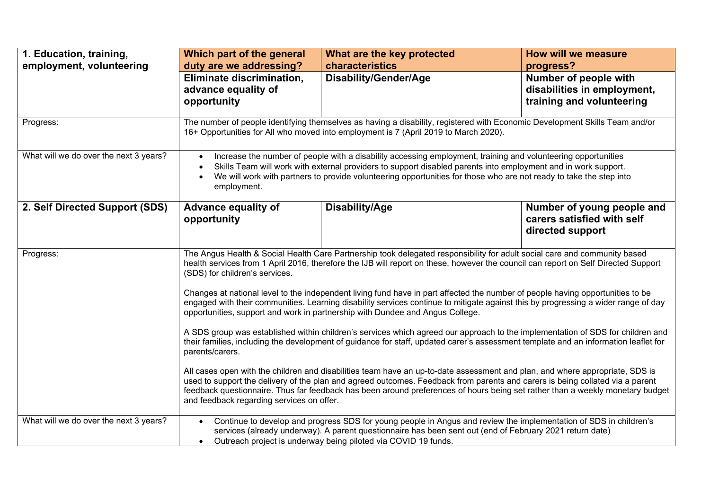| 1. Education, training,<br>employment, volunteering | Which part of the general<br>duty are we addressing?                                                                                                                                                                                                                                                                                                                                                                                                                                                                                                                                                                                                                                                                                                                                                                                                                                                                                                                                                                                                                                                                                                                                                                                                                                                                                                                                                  | What are the key protected<br>characteristics                                                                                                                                                                                                                                                                                                         | <b>How will we measure</b><br>progress?                                           |
|-----------------------------------------------------|-------------------------------------------------------------------------------------------------------------------------------------------------------------------------------------------------------------------------------------------------------------------------------------------------------------------------------------------------------------------------------------------------------------------------------------------------------------------------------------------------------------------------------------------------------------------------------------------------------------------------------------------------------------------------------------------------------------------------------------------------------------------------------------------------------------------------------------------------------------------------------------------------------------------------------------------------------------------------------------------------------------------------------------------------------------------------------------------------------------------------------------------------------------------------------------------------------------------------------------------------------------------------------------------------------------------------------------------------------------------------------------------------------|-------------------------------------------------------------------------------------------------------------------------------------------------------------------------------------------------------------------------------------------------------------------------------------------------------------------------------------------------------|-----------------------------------------------------------------------------------|
|                                                     | Eliminate discrimination,<br>advance equality of<br>opportunity                                                                                                                                                                                                                                                                                                                                                                                                                                                                                                                                                                                                                                                                                                                                                                                                                                                                                                                                                                                                                                                                                                                                                                                                                                                                                                                                       | Disability/Gender/Age                                                                                                                                                                                                                                                                                                                                 | Number of people with<br>disabilities in employment,<br>training and volunteering |
| Progress:                                           | The number of people identifying themselves as having a disability, registered with Economic Development Skills Team and/or<br>16+ Opportunities for All who moved into employment is 7 (April 2019 to March 2020).                                                                                                                                                                                                                                                                                                                                                                                                                                                                                                                                                                                                                                                                                                                                                                                                                                                                                                                                                                                                                                                                                                                                                                                   |                                                                                                                                                                                                                                                                                                                                                       |                                                                                   |
| What will we do over the next 3 years?              | $\bullet$<br>employment.                                                                                                                                                                                                                                                                                                                                                                                                                                                                                                                                                                                                                                                                                                                                                                                                                                                                                                                                                                                                                                                                                                                                                                                                                                                                                                                                                                              | Increase the number of people with a disability accessing employment, training and volunteering opportunities<br>Skills Team will work with external providers to support disabled parents into employment and in work support.<br>We will work with partners to provide volunteering opportunities for those who are not ready to take the step into |                                                                                   |
| 2. Self Directed Support (SDS)                      | <b>Advance equality of</b><br>opportunity                                                                                                                                                                                                                                                                                                                                                                                                                                                                                                                                                                                                                                                                                                                                                                                                                                                                                                                                                                                                                                                                                                                                                                                                                                                                                                                                                             | Disability/Age                                                                                                                                                                                                                                                                                                                                        | Number of young people and<br>carers satisfied with self<br>directed support      |
| Progress:                                           | The Angus Health & Social Health Care Partnership took delegated responsibility for adult social care and community based<br>health services from 1 April 2016, therefore the IJB will report on these, however the council can report on Self Directed Support<br>(SDS) for children's services.<br>Changes at national level to the independent living fund have in part affected the number of people having opportunities to be<br>engaged with their communities. Learning disability services continue to mitigate against this by progressing a wider range of day<br>opportunities, support and work in partnership with Dundee and Angus College.<br>A SDS group was established within children's services which agreed our approach to the implementation of SDS for children and<br>their families, including the development of guidance for staff, updated carer's assessment template and an information leaflet for<br>parents/carers.<br>All cases open with the children and disabilities team have an up-to-date assessment and plan, and where appropriate, SDS is<br>used to support the delivery of the plan and agreed outcomes. Feedback from parents and carers is being collated via a parent<br>feedback questionnaire. Thus far feedback has been around preferences of hours being set rather than a weekly monetary budget<br>and feedback regarding services on offer. |                                                                                                                                                                                                                                                                                                                                                       |                                                                                   |
| What will we do over the next 3 years?              | Continue to develop and progress SDS for young people in Angus and review the implementation of SDS in children's<br>services (already underway). A parent questionnaire has been sent out (end of February 2021 return date)<br>Outreach project is underway being piloted via COVID 19 funds.                                                                                                                                                                                                                                                                                                                                                                                                                                                                                                                                                                                                                                                                                                                                                                                                                                                                                                                                                                                                                                                                                                       |                                                                                                                                                                                                                                                                                                                                                       |                                                                                   |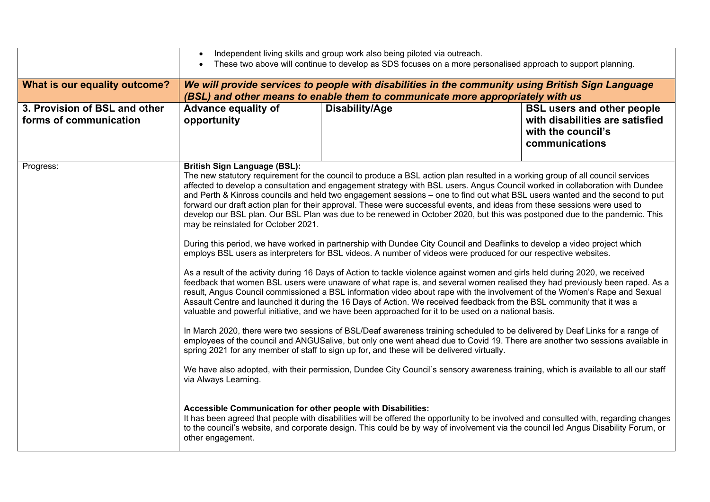|                                                         | Independent living skills and group work also being piloted via outreach.<br>These two above will continue to develop as SDS focuses on a more personalised approach to support planning. |                                                                                                                                                                                                                                                                                                                                                                                                                                                                                                                                                                                                                                                                                                                                                                                                                                                                                                                                                                                                                                                                                                                                                                                                                                                                                                                                                                                                                                                                                                                                                                                                                                                                                                                                                                                                                                                                                                                                                                                                                                                                                                                                                                                                                                                                                                                              |                                                                                                              |  |
|---------------------------------------------------------|-------------------------------------------------------------------------------------------------------------------------------------------------------------------------------------------|------------------------------------------------------------------------------------------------------------------------------------------------------------------------------------------------------------------------------------------------------------------------------------------------------------------------------------------------------------------------------------------------------------------------------------------------------------------------------------------------------------------------------------------------------------------------------------------------------------------------------------------------------------------------------------------------------------------------------------------------------------------------------------------------------------------------------------------------------------------------------------------------------------------------------------------------------------------------------------------------------------------------------------------------------------------------------------------------------------------------------------------------------------------------------------------------------------------------------------------------------------------------------------------------------------------------------------------------------------------------------------------------------------------------------------------------------------------------------------------------------------------------------------------------------------------------------------------------------------------------------------------------------------------------------------------------------------------------------------------------------------------------------------------------------------------------------------------------------------------------------------------------------------------------------------------------------------------------------------------------------------------------------------------------------------------------------------------------------------------------------------------------------------------------------------------------------------------------------------------------------------------------------------------------------------------------------|--------------------------------------------------------------------------------------------------------------|--|
| <b>What is our equality outcome?</b>                    | We will provide services to people with disabilities in the community using British Sign Language<br>(BSL) and other means to enable them to communicate more appropriately with us       |                                                                                                                                                                                                                                                                                                                                                                                                                                                                                                                                                                                                                                                                                                                                                                                                                                                                                                                                                                                                                                                                                                                                                                                                                                                                                                                                                                                                                                                                                                                                                                                                                                                                                                                                                                                                                                                                                                                                                                                                                                                                                                                                                                                                                                                                                                                              |                                                                                                              |  |
| 3. Provision of BSL and other<br>forms of communication | <b>Advance equality of</b><br>opportunity                                                                                                                                                 | Disability/Age                                                                                                                                                                                                                                                                                                                                                                                                                                                                                                                                                                                                                                                                                                                                                                                                                                                                                                                                                                                                                                                                                                                                                                                                                                                                                                                                                                                                                                                                                                                                                                                                                                                                                                                                                                                                                                                                                                                                                                                                                                                                                                                                                                                                                                                                                                               | <b>BSL users and other people</b><br>with disabilities are satisfied<br>with the council's<br>communications |  |
| Progress:                                               | <b>British Sign Language (BSL):</b><br>may be reinstated for October 2021.<br>via Always Learning.<br>Accessible Communication for other people with Disabilities:<br>other engagement.   | The new statutory requirement for the council to produce a BSL action plan resulted in a working group of all council services<br>affected to develop a consultation and engagement strategy with BSL users. Angus Council worked in collaboration with Dundee<br>and Perth & Kinross councils and held two engagement sessions - one to find out what BSL users wanted and the second to put<br>forward our draft action plan for their approval. These were successful events, and ideas from these sessions were used to<br>develop our BSL plan. Our BSL Plan was due to be renewed in October 2020, but this was postponed due to the pandemic. This<br>During this period, we have worked in partnership with Dundee City Council and Deaflinks to develop a video project which<br>employs BSL users as interpreters for BSL videos. A number of videos were produced for our respective websites.<br>As a result of the activity during 16 Days of Action to tackle violence against women and girls held during 2020, we received<br>feedback that women BSL users were unaware of what rape is, and several women realised they had previously been raped. As a<br>result, Angus Council commissioned a BSL information video about rape with the involvement of the Women's Rape and Sexual<br>Assault Centre and launched it during the 16 Days of Action. We received feedback from the BSL community that it was a<br>valuable and powerful initiative, and we have been approached for it to be used on a national basis.<br>In March 2020, there were two sessions of BSL/Deaf awareness training scheduled to be delivered by Deaf Links for a range of<br>employees of the council and ANGUSalive, but only one went ahead due to Covid 19. There are another two sessions available in<br>spring 2021 for any member of staff to sign up for, and these will be delivered virtually.<br>We have also adopted, with their permission, Dundee City Council's sensory awareness training, which is available to all our staff<br>It has been agreed that people with disabilities will be offered the opportunity to be involved and consulted with, regarding changes<br>to the council's website, and corporate design. This could be by way of involvement via the council led Angus Disability Forum, or |                                                                                                              |  |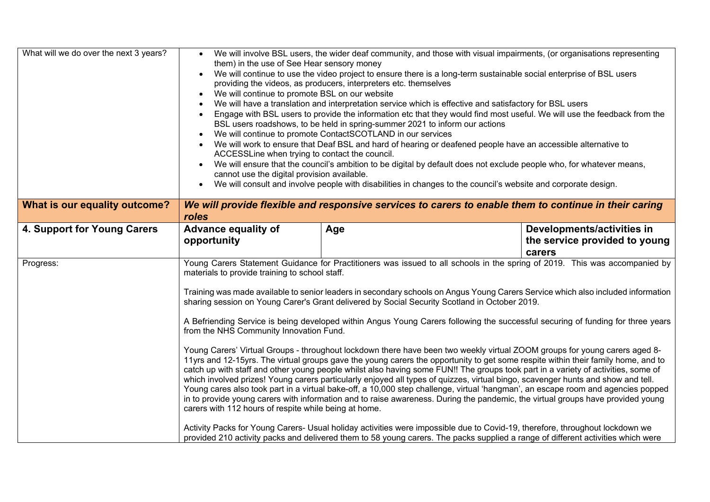| What will we do over the next 3 years? | We will involve BSL users, the wider deaf community, and those with visual impairments, (or organisations representing<br>them) in the use of See Hear sensory money<br>We will continue to use the video project to ensure there is a long-term sustainable social enterprise of BSL users<br>providing the videos, as producers, interpreters etc. themselves<br>We will continue to promote BSL on our website<br>We will have a translation and interpretation service which is effective and satisfactory for BSL users<br>Engage with BSL users to provide the information etc that they would find most useful. We will use the feedback from the<br>BSL users roadshows, to be held in spring-summer 2021 to inform our actions<br>We will continue to promote ContactSCOTLAND in our services<br>We will work to ensure that Deaf BSL and hard of hearing or deafened people have an accessible alternative to<br>ACCESSLine when trying to contact the council.<br>We will ensure that the council's ambition to be digital by default does not exclude people who, for whatever means,<br>cannot use the digital provision available.<br>We will consult and involve people with disabilities in changes to the council's website and corporate design.                                                                                                                                                                                                                                                                                                                                                                                                                                                                              |     |                                                                       |
|----------------------------------------|-------------------------------------------------------------------------------------------------------------------------------------------------------------------------------------------------------------------------------------------------------------------------------------------------------------------------------------------------------------------------------------------------------------------------------------------------------------------------------------------------------------------------------------------------------------------------------------------------------------------------------------------------------------------------------------------------------------------------------------------------------------------------------------------------------------------------------------------------------------------------------------------------------------------------------------------------------------------------------------------------------------------------------------------------------------------------------------------------------------------------------------------------------------------------------------------------------------------------------------------------------------------------------------------------------------------------------------------------------------------------------------------------------------------------------------------------------------------------------------------------------------------------------------------------------------------------------------------------------------------------------------------------------------------------------------------------------------------------------------------------|-----|-----------------------------------------------------------------------|
| <b>What is our equality outcome?</b>   | We will provide flexible and responsive services to carers to enable them to continue in their caring<br>roles                                                                                                                                                                                                                                                                                                                                                                                                                                                                                                                                                                                                                                                                                                                                                                                                                                                                                                                                                                                                                                                                                                                                                                                                                                                                                                                                                                                                                                                                                                                                                                                                                                  |     |                                                                       |
| 4. Support for Young Carers            | <b>Advance equality of</b><br>opportunity                                                                                                                                                                                                                                                                                                                                                                                                                                                                                                                                                                                                                                                                                                                                                                                                                                                                                                                                                                                                                                                                                                                                                                                                                                                                                                                                                                                                                                                                                                                                                                                                                                                                                                       | Age | Developments/activities in<br>the service provided to young<br>carers |
| Progress:                              | Young Carers Statement Guidance for Practitioners was issued to all schools in the spring of 2019. This was accompanied by<br>materials to provide training to school staff.<br>Training was made available to senior leaders in secondary schools on Angus Young Carers Service which also included information<br>sharing session on Young Carer's Grant delivered by Social Security Scotland in October 2019.<br>A Befriending Service is being developed within Angus Young Carers following the successful securing of funding for three years<br>from the NHS Community Innovation Fund.<br>Young Carers' Virtual Groups - throughout lockdown there have been two weekly virtual ZOOM groups for young carers aged 8-<br>11yrs and 12-15yrs. The virtual groups gave the young carers the opportunity to get some respite within their family home, and to<br>catch up with staff and other young people whilst also having some FUN!! The groups took part in a variety of activities, some of<br>which involved prizes! Young carers particularly enjoyed all types of quizzes, virtual bingo, scavenger hunts and show and tell.<br>Young cares also took part in a virtual bake-off, a 10,000 step challenge, virtual 'hangman', an escape room and agencies popped<br>in to provide young carers with information and to raise awareness. During the pandemic, the virtual groups have provided young<br>carers with 112 hours of respite while being at home.<br>Activity Packs for Young Carers- Usual holiday activities were impossible due to Covid-19, therefore, throughout lockdown we<br>provided 210 activity packs and delivered them to 58 young carers. The packs supplied a range of different activities which were |     |                                                                       |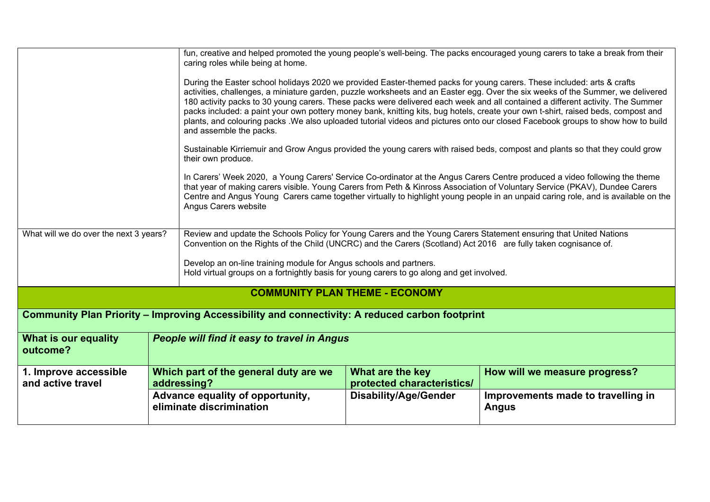|                                                                                                                                                                                                                                                                                                                                                                                                                        |                                             | fun, creative and helped promoted the young people's well-being. The packs encouraged young carers to take a break from their<br>caring roles while being at home.                                                                                                                                                                                                                                                                                                                                                                                                                                                                                                                             |                                                |                                                    |  |
|------------------------------------------------------------------------------------------------------------------------------------------------------------------------------------------------------------------------------------------------------------------------------------------------------------------------------------------------------------------------------------------------------------------------|---------------------------------------------|------------------------------------------------------------------------------------------------------------------------------------------------------------------------------------------------------------------------------------------------------------------------------------------------------------------------------------------------------------------------------------------------------------------------------------------------------------------------------------------------------------------------------------------------------------------------------------------------------------------------------------------------------------------------------------------------|------------------------------------------------|----------------------------------------------------|--|
|                                                                                                                                                                                                                                                                                                                                                                                                                        |                                             | During the Easter school holidays 2020 we provided Easter-themed packs for young carers. These included: arts & crafts<br>activities, challenges, a miniature garden, puzzle worksheets and an Easter egg. Over the six weeks of the Summer, we delivered<br>180 activity packs to 30 young carers. These packs were delivered each week and all contained a different activity. The Summer<br>packs included: a paint your own pottery money bank, knitting kits, bug hotels, create your own t-shirt, raised beds, compost and<br>plants, and colouring packs .We also uploaded tutorial videos and pictures onto our closed Facebook groups to show how to build<br>and assemble the packs. |                                                |                                                    |  |
|                                                                                                                                                                                                                                                                                                                                                                                                                        |                                             | Sustainable Kirriemuir and Grow Angus provided the young carers with raised beds, compost and plants so that they could grow<br>their own produce.                                                                                                                                                                                                                                                                                                                                                                                                                                                                                                                                             |                                                |                                                    |  |
| In Carers' Week 2020, a Young Carers' Service Co-ordinator at the Angus Carers Centre produced a video following the theme<br>that year of making carers visible. Young Carers from Peth & Kinross Association of Voluntary Service (PKAV), Dundee Carers<br>Centre and Angus Young Carers came together virtually to highlight young people in an unpaid caring role, and is available on the<br>Angus Carers website |                                             |                                                                                                                                                                                                                                                                                                                                                                                                                                                                                                                                                                                                                                                                                                |                                                |                                                    |  |
| What will we do over the next 3 years?                                                                                                                                                                                                                                                                                                                                                                                 |                                             | Review and update the Schools Policy for Young Carers and the Young Carers Statement ensuring that United Nations<br>Convention on the Rights of the Child (UNCRC) and the Carers (Scotland) Act 2016 are fully taken cognisance of.                                                                                                                                                                                                                                                                                                                                                                                                                                                           |                                                |                                                    |  |
|                                                                                                                                                                                                                                                                                                                                                                                                                        |                                             | Develop an on-line training module for Angus schools and partners.<br>Hold virtual groups on a fortnightly basis for young carers to go along and get involved.                                                                                                                                                                                                                                                                                                                                                                                                                                                                                                                                |                                                |                                                    |  |
|                                                                                                                                                                                                                                                                                                                                                                                                                        |                                             |                                                                                                                                                                                                                                                                                                                                                                                                                                                                                                                                                                                                                                                                                                | <b>COMMUNITY PLAN THEME - ECONOMY</b>          |                                                    |  |
|                                                                                                                                                                                                                                                                                                                                                                                                                        |                                             | Community Plan Priority – Improving Accessibility and connectivity: A reduced carbon footprint                                                                                                                                                                                                                                                                                                                                                                                                                                                                                                                                                                                                 |                                                |                                                    |  |
| What is our equality<br>outcome?                                                                                                                                                                                                                                                                                                                                                                                       | People will find it easy to travel in Angus |                                                                                                                                                                                                                                                                                                                                                                                                                                                                                                                                                                                                                                                                                                |                                                |                                                    |  |
| 1. Improve accessible<br>and active travel                                                                                                                                                                                                                                                                                                                                                                             |                                             | Which part of the general duty are we<br>addressing?                                                                                                                                                                                                                                                                                                                                                                                                                                                                                                                                                                                                                                           | What are the key<br>protected characteristics/ | How will we measure progress?                      |  |
|                                                                                                                                                                                                                                                                                                                                                                                                                        |                                             | Advance equality of opportunity,<br>eliminate discrimination                                                                                                                                                                                                                                                                                                                                                                                                                                                                                                                                                                                                                                   | <b>Disability/Age/Gender</b>                   | Improvements made to travelling in<br><b>Angus</b> |  |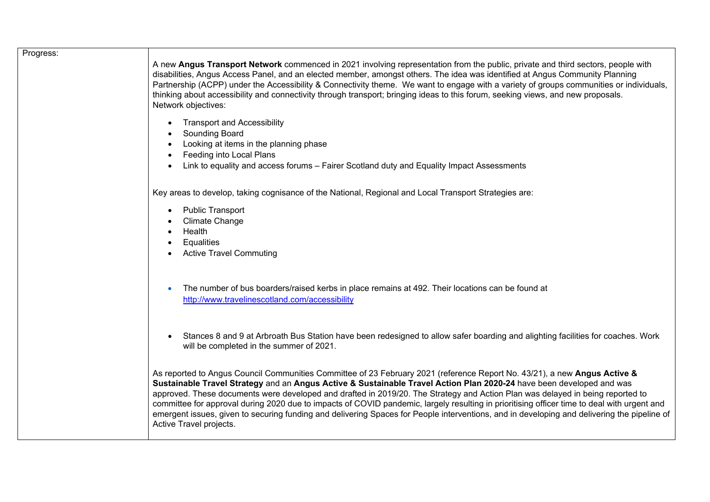| Progress: |                                                                                                                                                                                                                                                                                                                                                                                                                                                                                                                                                                                                                                                                                                              |
|-----------|--------------------------------------------------------------------------------------------------------------------------------------------------------------------------------------------------------------------------------------------------------------------------------------------------------------------------------------------------------------------------------------------------------------------------------------------------------------------------------------------------------------------------------------------------------------------------------------------------------------------------------------------------------------------------------------------------------------|
|           | A new Angus Transport Network commenced in 2021 involving representation from the public, private and third sectors, people with<br>disabilities, Angus Access Panel, and an elected member, amongst others. The idea was identified at Angus Community Planning<br>Partnership (ACPP) under the Accessibility & Connectivity theme. We want to engage with a variety of groups communities or individuals,<br>thinking about accessibility and connectivity through transport; bringing ideas to this forum, seeking views, and new proposals.<br>Network objectives:                                                                                                                                       |
|           | <b>Transport and Accessibility</b><br>Sounding Board<br>Looking at items in the planning phase<br>Feeding into Local Plans<br>Link to equality and access forums - Fairer Scotland duty and Equality Impact Assessments                                                                                                                                                                                                                                                                                                                                                                                                                                                                                      |
|           | Key areas to develop, taking cognisance of the National, Regional and Local Transport Strategies are:                                                                                                                                                                                                                                                                                                                                                                                                                                                                                                                                                                                                        |
|           | <b>Public Transport</b><br>Climate Change<br>Health<br>Equalities<br><b>Active Travel Commuting</b>                                                                                                                                                                                                                                                                                                                                                                                                                                                                                                                                                                                                          |
|           | The number of bus boarders/raised kerbs in place remains at 492. Their locations can be found at<br>$\bullet$<br>http://www.travelinescotland.com/accessibility                                                                                                                                                                                                                                                                                                                                                                                                                                                                                                                                              |
|           | Stances 8 and 9 at Arbroath Bus Station have been redesigned to allow safer boarding and alighting facilities for coaches. Work<br>will be completed in the summer of 2021.                                                                                                                                                                                                                                                                                                                                                                                                                                                                                                                                  |
|           | As reported to Angus Council Communities Committee of 23 February 2021 (reference Report No. 43/21), a new Angus Active &<br>Sustainable Travel Strategy and an Angus Active & Sustainable Travel Action Plan 2020-24 have been developed and was<br>approved. These documents were developed and drafted in 2019/20. The Strategy and Action Plan was delayed in being reported to<br>committee for approval during 2020 due to impacts of COVID pandemic, largely resulting in prioritising officer time to deal with urgent and<br>emergent issues, given to securing funding and delivering Spaces for People interventions, and in developing and delivering the pipeline of<br>Active Travel projects. |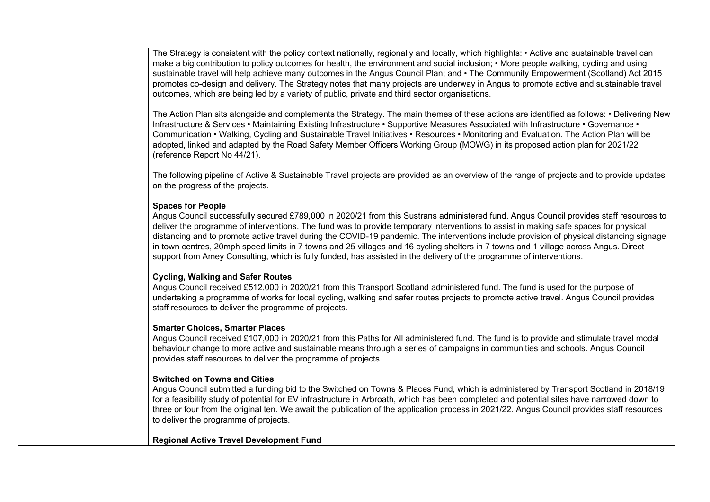The Strategy is consistent with the policy context nationally, regionally and locally, which highlights: • Active and sustainable travel can make a big contribution to policy outcomes for health, the environment and social inclusion; • More people walking, cycling and using sustainable travel will help achieve many outcomes in the Angus Council Plan; and • The Community Empowerment (Scotland) Act 2015 promotes co-design and delivery. The Strategy notes that many projects are underway in Angus to promote active and sustainable travel outcomes, which are being led by a variety of public, private and third sector organisations.

The Action Plan sits alongside and complements the Strategy. The main themes of these actions are identified as follows: • Delivering New Infrastructure & Services • Maintaining Existing Infrastructure • Supportive Measures Associated with Infrastructure • Governance • Communication • Walking, Cycling and Sustainable Travel Initiatives • Resources • Monitoring and Evaluation. The Action Plan will be adopted, linked and adapted by the Road Safety Member Officers Working Group (MOWG) in its proposed action plan for 2021/22 (reference Report No 44/21).

The following pipeline of Active & Sustainable Travel projects are provided as an overview of the range of projects and to provide updates on the progress of the projects.

#### **Spaces for People**

Angus Council successfully secured £789,000 in 2020/21 from this Sustrans administered fund. Angus Council provides staff resources to deliver the programme of interventions. The fund was to provide temporary interventions to assist in making safe spaces for physical distancing and to promote active travel during the COVID-19 pandemic. The interventions include provision of physical distancing signage in town centres, 20mph speed limits in 7 towns and 25 villages and 16 cycling shelters in 7 towns and 1 village across Angus. Direct support from Amey Consulting, which is fully funded, has assisted in the delivery of the programme of interventions.

### **Cycling, Walking and Safer Routes**

Angus Council received £512,000 in 2020/21 from this Transport Scotland administered fund. The fund is used for the purpose of undertaking a programme of works for local cycling, walking and safer routes projects to promote active travel. Angus Council provides staff resources to deliver the programme of projects.

#### **Smarter Choices, Smarter Places**

Angus Council received £107,000 in 2020/21 from this Paths for All administered fund. The fund is to provide and stimulate travel modal behaviour change to more active and sustainable means through a series of campaigns in communities and schools. Angus Council provides staff resources to deliver the programme of projects.

#### **Switched on Towns and Cities**

Angus Council submitted a funding bid to the Switched on Towns & Places Fund, which is administered by Transport Scotland in 2018/19 for a feasibility study of potential for EV infrastructure in Arbroath, which has been completed and potential sites have narrowed down to three or four from the original ten. We await the publication of the application process in 2021/22. Angus Council provides staff resources to deliver the programme of projects.

#### **Regional Active Travel Development Fund**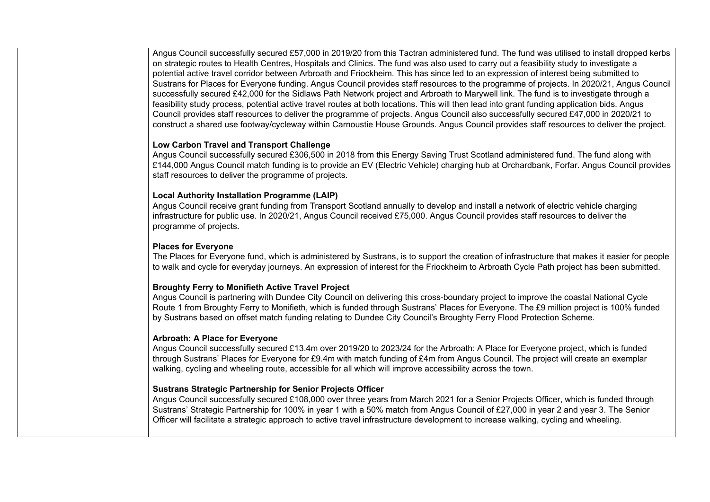Angus Council successfully secured £57,000 in 2019/20 from this Tactran administered fund. The fund was utilised to install dropped kerbs on strategic routes to Health Centres, Hospitals and Clinics. The fund was also used to carry out a feasibility study to investigate a potential active travel corridor between Arbroath and Friockheim. This has since led to an expression of interest being submitted to Sustrans for Places for Everyone funding. Angus Council provides staff resources to the programme of projects. In 2020/21, Angus Council successfully secured £42,000 for the Sidlaws Path Network project and Arbroath to Marywell link. The fund is to investigate through a feasibility study process, potential active travel routes at both locations. This will then lead into grant funding application bids. Angus Council provides staff resources to deliver the programme of projects. Angus Council also successfully secured £47,000 in 2020/21 to construct a shared use footway/cycleway within Carnoustie House Grounds. Angus Council provides staff resources to deliver the project.

### **Low Carbon Travel and Transport Challenge**

Angus Council successfully secured £306,500 in 2018 from this Energy Saving Trust Scotland administered fund. The fund along with £144,000 Angus Council match funding is to provide an EV (Electric Vehicle) charging hub at Orchardbank, Forfar. Angus Council provides staff resources to deliver the programme of projects.

### **Local Authority Installation Programme (LAIP)**

Angus Council receive grant funding from Transport Scotland annually to develop and install a network of electric vehicle charging infrastructure for public use. In 2020/21, Angus Council received £75,000. Angus Council provides staff resources to deliver the programme of projects.

### **Places for Everyone**

The Places for Everyone fund, which is administered by Sustrans, is to support the creation of infrastructure that makes it easier for people to walk and cycle for everyday journeys. An expression of interest for the Friockheim to Arbroath Cycle Path project has been submitted.

## **Broughty Ferry to Monifieth Active Travel Project**

Angus Council is partnering with Dundee City Council on delivering this cross-boundary project to improve the coastal National Cycle Route 1 from Broughty Ferry to Monifieth, which is funded through Sustrans' Places for Everyone. The £9 million project is 100% funded by Sustrans based on offset match funding relating to Dundee City Council's Broughty Ferry Flood Protection Scheme.

### **Arbroath: A Place for Everyone**

Angus Council successfully secured £13.4m over 2019/20 to 2023/24 for the Arbroath: A Place for Everyone project, which is funded through Sustrans' Places for Everyone for £9.4m with match funding of £4m from Angus Council. The project will create an exemplar walking, cycling and wheeling route, accessible for all which will improve accessibility across the town.

### **Sustrans Strategic Partnership for Senior Projects Officer**

Angus Council successfully secured £108,000 over three years from March 2021 for a Senior Projects Officer, which is funded through Sustrans' Strategic Partnership for 100% in year 1 with a 50% match from Angus Council of £27,000 in year 2 and year 3. The Senior Officer will facilitate a strategic approach to active travel infrastructure development to increase walking, cycling and wheeling.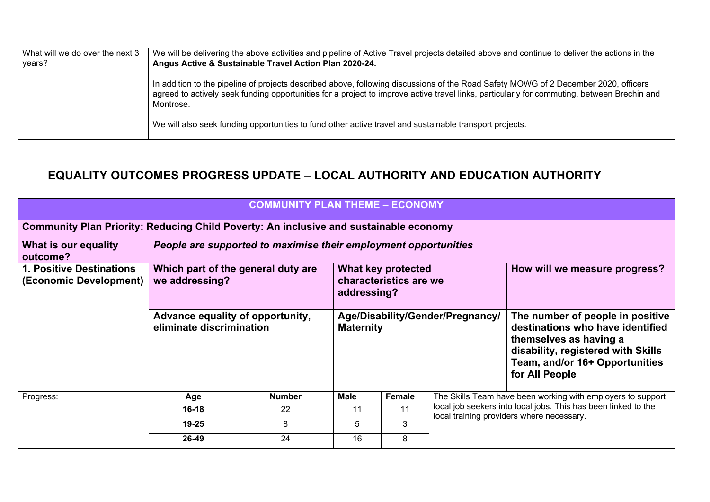| What will we do over the next 3 | We will be delivering the above activities and pipeline of Active Travel projects detailed above and continue to deliver the actions in the                                                                                                                                                     |  |  |
|---------------------------------|-------------------------------------------------------------------------------------------------------------------------------------------------------------------------------------------------------------------------------------------------------------------------------------------------|--|--|
| years?                          | Angus Active & Sustainable Travel Action Plan 2020-24.                                                                                                                                                                                                                                          |  |  |
|                                 | In addition to the pipeline of projects described above, following discussions of the Road Safety MOWG of 2 December 2020, officers<br>agreed to actively seek funding opportunities for a project to improve active travel links, particularly for commuting, between Brechin and<br>Montrose. |  |  |
|                                 | We will also seek funding opportunities to fund other active travel and sustainable transport projects.                                                                                                                                                                                         |  |  |

# **EQUALITY OUTCOMES PROGRESS UPDATE – LOCAL AUTHORITY AND EDUCATION AUTHORITY**

| <b>COMMUNITY PLAN THEME - ECONOMY</b>                     |                                                                                                                     |                                                                 |                                                      |                               |  |                                                                                                                                                                                          |  |
|-----------------------------------------------------------|---------------------------------------------------------------------------------------------------------------------|-----------------------------------------------------------------|------------------------------------------------------|-------------------------------|--|------------------------------------------------------------------------------------------------------------------------------------------------------------------------------------------|--|
|                                                           | Community Plan Priority: Reducing Child Poverty: An inclusive and sustainable economy                               |                                                                 |                                                      |                               |  |                                                                                                                                                                                          |  |
| What is our equality<br>outcome?                          |                                                                                                                     | People are supported to maximise their employment opportunities |                                                      |                               |  |                                                                                                                                                                                          |  |
| <b>1. Positive Destinations</b><br>(Economic Development) | Which part of the general duty are<br>What key protected<br>we addressing?<br>characteristics are we<br>addressing? |                                                                 |                                                      | How will we measure progress? |  |                                                                                                                                                                                          |  |
|                                                           | Advance equality of opportunity,<br>eliminate discrimination                                                        |                                                                 | Age/Disability/Gender/Pregnancy/<br><b>Maternity</b> |                               |  | The number of people in positive<br>destinations who have identified<br>themselves as having a<br>disability, registered with Skills<br>Team, and/or 16+ Opportunities<br>for All People |  |
| Progress:                                                 | Age                                                                                                                 | <b>Number</b>                                                   | Male                                                 | Female                        |  | The Skills Team have been working with employers to support                                                                                                                              |  |
|                                                           | $16-18$                                                                                                             | 22                                                              | 11                                                   | 11                            |  | local job seekers into local jobs. This has been linked to the<br>local training providers where necessary.                                                                              |  |
|                                                           | $19 - 25$                                                                                                           | 8                                                               | 5                                                    | 3                             |  |                                                                                                                                                                                          |  |
|                                                           | 26-49                                                                                                               | 24                                                              | 16                                                   | 8                             |  |                                                                                                                                                                                          |  |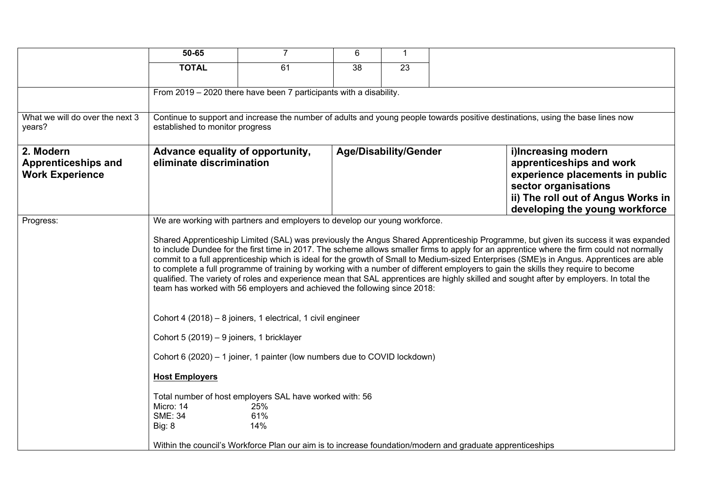|                                                                   | 50-65                                                                                                                                                                                                                                                                                                                                                                                                                                                                                                                                                                                                                                                                                                                                                                                                                                                                                                                                                                                                                                                                                                                                                                                                               | $\overline{7}$ | 6  | $\mathbf{1}$ |  |
|-------------------------------------------------------------------|---------------------------------------------------------------------------------------------------------------------------------------------------------------------------------------------------------------------------------------------------------------------------------------------------------------------------------------------------------------------------------------------------------------------------------------------------------------------------------------------------------------------------------------------------------------------------------------------------------------------------------------------------------------------------------------------------------------------------------------------------------------------------------------------------------------------------------------------------------------------------------------------------------------------------------------------------------------------------------------------------------------------------------------------------------------------------------------------------------------------------------------------------------------------------------------------------------------------|----------------|----|--------------|--|
|                                                                   | <b>TOTAL</b>                                                                                                                                                                                                                                                                                                                                                                                                                                                                                                                                                                                                                                                                                                                                                                                                                                                                                                                                                                                                                                                                                                                                                                                                        | 61             | 38 | 23           |  |
|                                                                   | From 2019 - 2020 there have been 7 participants with a disability.                                                                                                                                                                                                                                                                                                                                                                                                                                                                                                                                                                                                                                                                                                                                                                                                                                                                                                                                                                                                                                                                                                                                                  |                |    |              |  |
| What we will do over the next 3<br>years?                         | Continue to support and increase the number of adults and young people towards positive destinations, using the base lines now<br>established to monitor progress                                                                                                                                                                                                                                                                                                                                                                                                                                                                                                                                                                                                                                                                                                                                                                                                                                                                                                                                                                                                                                                   |                |    |              |  |
| 2. Modern<br><b>Apprenticeships and</b><br><b>Work Experience</b> | Age/Disability/Gender<br>Advance equality of opportunity,<br>i)Increasing modern<br>eliminate discrimination<br>apprenticeships and work<br>experience placements in public<br>sector organisations<br>ii) The roll out of Angus Works in<br>developing the young workforce                                                                                                                                                                                                                                                                                                                                                                                                                                                                                                                                                                                                                                                                                                                                                                                                                                                                                                                                         |                |    |              |  |
| Progress:                                                         | We are working with partners and employers to develop our young workforce.<br>Shared Apprenticeship Limited (SAL) was previously the Angus Shared Apprenticeship Programme, but given its success it was expanded<br>to include Dundee for the first time in 2017. The scheme allows smaller firms to apply for an apprentice where the firm could not normally<br>commit to a full apprenticeship which is ideal for the growth of Small to Medium-sized Enterprises (SME)s in Angus. Apprentices are able<br>to complete a full programme of training by working with a number of different employers to gain the skills they require to become<br>qualified. The variety of roles and experience mean that SAL apprentices are highly skilled and sought after by employers. In total the<br>team has worked with 56 employers and achieved the following since 2018:<br>Cohort 4 (2018) - 8 joiners, 1 electrical, 1 civil engineer<br>Cohort 5 (2019) - 9 joiners, 1 bricklayer<br>Cohort 6 (2020) – 1 joiner, 1 painter (low numbers due to COVID lockdown)<br><b>Host Employers</b><br>Total number of host employers SAL have worked with: 56<br>Micro: 14<br>25%<br>61%<br><b>SME: 34</b><br>14%<br>Big: 8 |                |    |              |  |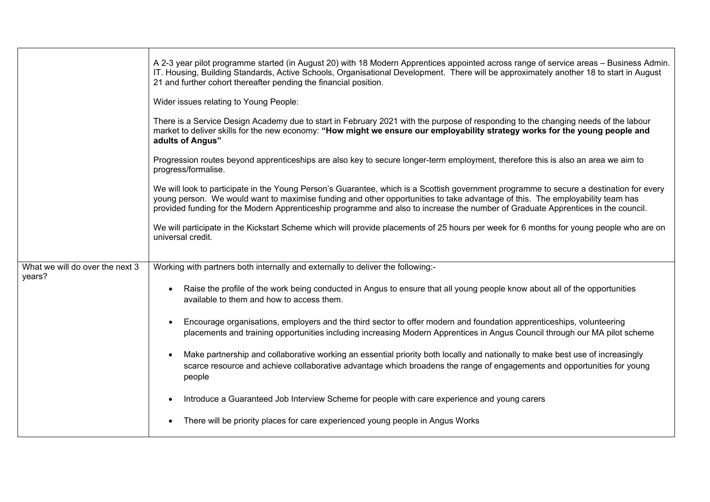|                                 | A 2-3 year pilot programme started (in August 20) with 18 Modern Apprentices appointed across range of service areas - Business Admin.<br>IT. Housing, Building Standards, Active Schools, Organisational Development. There will be approximately another 18 to start in August<br>21 and further cohort thereafter pending the financial position.                                                         |
|---------------------------------|--------------------------------------------------------------------------------------------------------------------------------------------------------------------------------------------------------------------------------------------------------------------------------------------------------------------------------------------------------------------------------------------------------------|
|                                 | Wider issues relating to Young People:                                                                                                                                                                                                                                                                                                                                                                       |
|                                 | There is a Service Design Academy due to start in February 2021 with the purpose of responding to the changing needs of the labour<br>market to deliver skills for the new economy: "How might we ensure our employability strategy works for the young people and<br>adults of Angus"                                                                                                                       |
|                                 | Progression routes beyond apprenticeships are also key to secure longer-term employment, therefore this is also an area we aim to<br>progress/formalise.                                                                                                                                                                                                                                                     |
|                                 | We will look to participate in the Young Person's Guarantee, which is a Scottish government programme to secure a destination for every<br>young person. We would want to maximise funding and other opportunities to take advantage of this. The employability team has<br>provided funding for the Modern Apprenticeship programme and also to increase the number of Graduate Apprentices in the council. |
|                                 | We will participate in the Kickstart Scheme which will provide placements of 25 hours per week for 6 months for young people who are on<br>universal credit.                                                                                                                                                                                                                                                 |
| What we will do over the next 3 | Working with partners both internally and externally to deliver the following:-                                                                                                                                                                                                                                                                                                                              |
| years?                          |                                                                                                                                                                                                                                                                                                                                                                                                              |
|                                 | Raise the profile of the work being conducted in Angus to ensure that all young people know about all of the opportunities<br>$\bullet$<br>available to them and how to access them.                                                                                                                                                                                                                         |
|                                 | Encourage organisations, employers and the third sector to offer modern and foundation apprenticeships, volunteering<br>$\bullet$<br>placements and training opportunities including increasing Modern Apprentices in Angus Council through our MA pilot scheme                                                                                                                                              |
|                                 | Make partnership and collaborative working an essential priority both locally and nationally to make best use of increasingly<br>scarce resource and achieve collaborative advantage which broadens the range of engagements and opportunities for young<br>people                                                                                                                                           |
|                                 | Introduce a Guaranteed Job Interview Scheme for people with care experience and young carers<br>$\bullet$                                                                                                                                                                                                                                                                                                    |
|                                 | There will be priority places for care experienced young people in Angus Works                                                                                                                                                                                                                                                                                                                               |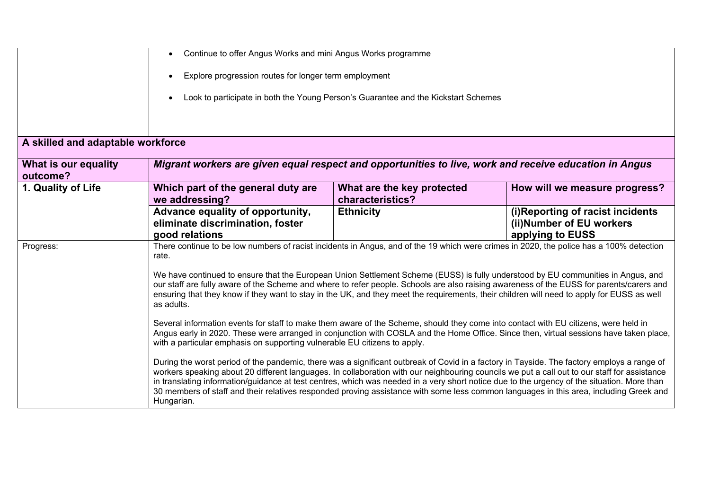|                                   | Continue to offer Angus Works and mini Angus Works programme<br>$\bullet$                                                                                                                                                                                                                                                                                                                                                                                                                                                                                                                                                                                                                                                                                                                                                                                                                                                                                                                                                                                                                                                                                                                                                                                                                                                                                                                                                                                                                                                                                       |                                                |                                                                                    |  |
|-----------------------------------|-----------------------------------------------------------------------------------------------------------------------------------------------------------------------------------------------------------------------------------------------------------------------------------------------------------------------------------------------------------------------------------------------------------------------------------------------------------------------------------------------------------------------------------------------------------------------------------------------------------------------------------------------------------------------------------------------------------------------------------------------------------------------------------------------------------------------------------------------------------------------------------------------------------------------------------------------------------------------------------------------------------------------------------------------------------------------------------------------------------------------------------------------------------------------------------------------------------------------------------------------------------------------------------------------------------------------------------------------------------------------------------------------------------------------------------------------------------------------------------------------------------------------------------------------------------------|------------------------------------------------|------------------------------------------------------------------------------------|--|
|                                   | Explore progression routes for longer term employment<br>$\bullet$                                                                                                                                                                                                                                                                                                                                                                                                                                                                                                                                                                                                                                                                                                                                                                                                                                                                                                                                                                                                                                                                                                                                                                                                                                                                                                                                                                                                                                                                                              |                                                |                                                                                    |  |
|                                   | Look to participate in both the Young Person's Guarantee and the Kickstart Schemes<br>$\bullet$                                                                                                                                                                                                                                                                                                                                                                                                                                                                                                                                                                                                                                                                                                                                                                                                                                                                                                                                                                                                                                                                                                                                                                                                                                                                                                                                                                                                                                                                 |                                                |                                                                                    |  |
| A skilled and adaptable workforce |                                                                                                                                                                                                                                                                                                                                                                                                                                                                                                                                                                                                                                                                                                                                                                                                                                                                                                                                                                                                                                                                                                                                                                                                                                                                                                                                                                                                                                                                                                                                                                 |                                                |                                                                                    |  |
| What is our equality<br>outcome?  | Migrant workers are given equal respect and opportunities to live, work and receive education in Angus                                                                                                                                                                                                                                                                                                                                                                                                                                                                                                                                                                                                                                                                                                                                                                                                                                                                                                                                                                                                                                                                                                                                                                                                                                                                                                                                                                                                                                                          |                                                |                                                                                    |  |
| 1. Quality of Life                | Which part of the general duty are<br>we addressing?                                                                                                                                                                                                                                                                                                                                                                                                                                                                                                                                                                                                                                                                                                                                                                                                                                                                                                                                                                                                                                                                                                                                                                                                                                                                                                                                                                                                                                                                                                            | What are the key protected<br>characteristics? | How will we measure progress?                                                      |  |
|                                   | Advance equality of opportunity,<br>eliminate discrimination, foster<br>good relations                                                                                                                                                                                                                                                                                                                                                                                                                                                                                                                                                                                                                                                                                                                                                                                                                                                                                                                                                                                                                                                                                                                                                                                                                                                                                                                                                                                                                                                                          | <b>Ethnicity</b>                               | (i) Reporting of racist incidents<br>(ii) Number of EU workers<br>applying to EUSS |  |
| Progress:                         | There continue to be low numbers of racist incidents in Angus, and of the 19 which were crimes in 2020, the police has a 100% detection<br>rate.<br>We have continued to ensure that the European Union Settlement Scheme (EUSS) is fully understood by EU communities in Angus, and<br>our staff are fully aware of the Scheme and where to refer people. Schools are also raising awareness of the EUSS for parents/carers and<br>ensuring that they know if they want to stay in the UK, and they meet the requirements, their children will need to apply for EUSS as well<br>as adults.<br>Several information events for staff to make them aware of the Scheme, should they come into contact with EU citizens, were held in<br>Angus early in 2020. These were arranged in conjunction with COSLA and the Home Office. Since then, virtual sessions have taken place,<br>with a particular emphasis on supporting vulnerable EU citizens to apply.<br>During the worst period of the pandemic, there was a significant outbreak of Covid in a factory in Tayside. The factory employs a range of<br>workers speaking about 20 different languages. In collaboration with our neighbouring councils we put a call out to our staff for assistance<br>in translating information/guidance at test centres, which was needed in a very short notice due to the urgency of the situation. More than<br>30 members of staff and their relatives responded proving assistance with some less common languages in this area, including Greek and<br>Hungarian. |                                                |                                                                                    |  |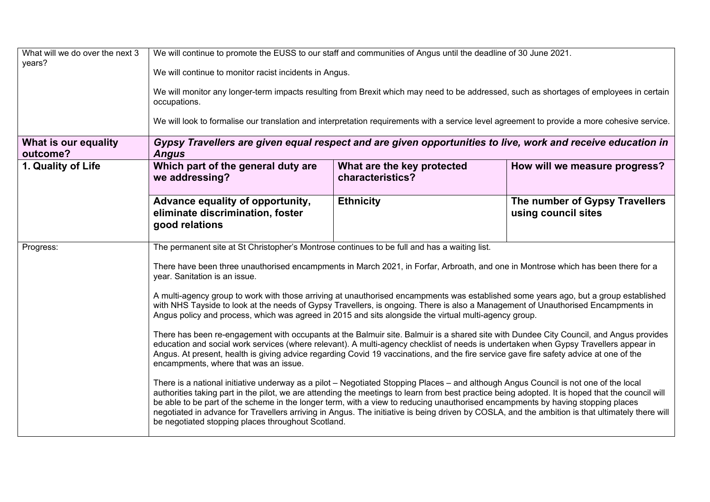| What will we do over the next 3<br>years?<br>What is our equality | We will continue to promote the EUSS to our staff and communities of Angus until the deadline of 30 June 2021.<br>We will continue to monitor racist incidents in Angus.<br>We will monitor any longer-term impacts resulting from Brexit which may need to be addressed, such as shortages of employees in certain<br>occupations.<br>We will look to formalise our translation and interpretation requirements with a service level agreement to provide a more cohesive service.<br>Gypsy Travellers are given equal respect and are given opportunities to live, work and receive education in                                                                                                                                                                                                                                                                                                                                                                                                                                                                                                                                                                                                                                                                                                                                                                                                                                                                                                                                                                                                                                                                                                                                                                   |                  |                                                       |  |
|-------------------------------------------------------------------|----------------------------------------------------------------------------------------------------------------------------------------------------------------------------------------------------------------------------------------------------------------------------------------------------------------------------------------------------------------------------------------------------------------------------------------------------------------------------------------------------------------------------------------------------------------------------------------------------------------------------------------------------------------------------------------------------------------------------------------------------------------------------------------------------------------------------------------------------------------------------------------------------------------------------------------------------------------------------------------------------------------------------------------------------------------------------------------------------------------------------------------------------------------------------------------------------------------------------------------------------------------------------------------------------------------------------------------------------------------------------------------------------------------------------------------------------------------------------------------------------------------------------------------------------------------------------------------------------------------------------------------------------------------------------------------------------------------------------------------------------------------------|------------------|-------------------------------------------------------|--|
| outcome?                                                          | <b>Angus</b>                                                                                                                                                                                                                                                                                                                                                                                                                                                                                                                                                                                                                                                                                                                                                                                                                                                                                                                                                                                                                                                                                                                                                                                                                                                                                                                                                                                                                                                                                                                                                                                                                                                                                                                                                         |                  |                                                       |  |
| 1. Quality of Life                                                | Which part of the general duty are<br>What are the key protected<br>How will we measure progress?<br>characteristics?<br>we addressing?                                                                                                                                                                                                                                                                                                                                                                                                                                                                                                                                                                                                                                                                                                                                                                                                                                                                                                                                                                                                                                                                                                                                                                                                                                                                                                                                                                                                                                                                                                                                                                                                                              |                  |                                                       |  |
|                                                                   | Advance equality of opportunity,<br>eliminate discrimination, foster<br>good relations                                                                                                                                                                                                                                                                                                                                                                                                                                                                                                                                                                                                                                                                                                                                                                                                                                                                                                                                                                                                                                                                                                                                                                                                                                                                                                                                                                                                                                                                                                                                                                                                                                                                               | <b>Ethnicity</b> | The number of Gypsy Travellers<br>using council sites |  |
| Progress:                                                         | The permanent site at St Christopher's Montrose continues to be full and has a waiting list.<br>There have been three unauthorised encampments in March 2021, in Forfar, Arbroath, and one in Montrose which has been there for a<br>year. Sanitation is an issue.<br>A multi-agency group to work with those arriving at unauthorised encampments was established some years ago, but a group established<br>with NHS Tayside to look at the needs of Gypsy Travellers, is ongoing. There is also a Management of Unauthorised Encampments in<br>Angus policy and process, which was agreed in 2015 and sits alongside the virtual multi-agency group.<br>There has been re-engagement with occupants at the Balmuir site. Balmuir is a shared site with Dundee City Council, and Angus provides<br>education and social work services (where relevant). A multi-agency checklist of needs is undertaken when Gypsy Travellers appear in<br>Angus. At present, health is giving advice regarding Covid 19 vaccinations, and the fire service gave fire safety advice at one of the<br>encampments, where that was an issue.<br>There is a national initiative underway as a pilot – Negotiated Stopping Places – and although Angus Council is not one of the local<br>authorities taking part in the pilot, we are attending the meetings to learn from best practice being adopted. It is hoped that the council will<br>be able to be part of the scheme in the longer term, with a view to reducing unauthorised encampments by having stopping places<br>negotiated in advance for Travellers arriving in Angus. The initiative is being driven by COSLA, and the ambition is that ultimately there will<br>be negotiated stopping places throughout Scotland. |                  |                                                       |  |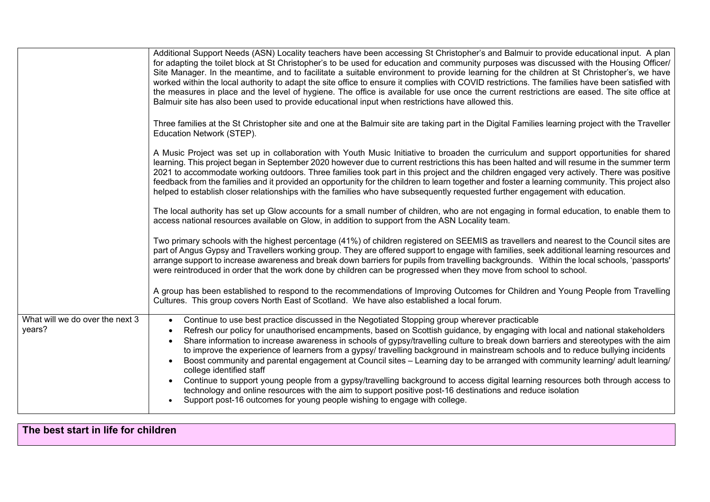|                                           | Additional Support Needs (ASN) Locality teachers have been accessing St Christopher's and Balmuir to provide educational input. A plan<br>for adapting the toilet block at St Christopher's to be used for education and community purposes was discussed with the Housing Officer/<br>Site Manager. In the meantime, and to facilitate a suitable environment to provide learning for the children at St Christopher's, we have<br>worked within the local authority to adapt the site office to ensure it complies with COVID restrictions. The families have been satisfied with<br>the measures in place and the level of hygiene. The office is available for use once the current restrictions are eased. The site office at<br>Balmuir site has also been used to provide educational input when restrictions have allowed this.                                                                                                                                                                                                                                             |
|-------------------------------------------|-------------------------------------------------------------------------------------------------------------------------------------------------------------------------------------------------------------------------------------------------------------------------------------------------------------------------------------------------------------------------------------------------------------------------------------------------------------------------------------------------------------------------------------------------------------------------------------------------------------------------------------------------------------------------------------------------------------------------------------------------------------------------------------------------------------------------------------------------------------------------------------------------------------------------------------------------------------------------------------------------------------------------------------------------------------------------------------|
|                                           | Three families at the St Christopher site and one at the Balmuir site are taking part in the Digital Families learning project with the Traveller<br>Education Network (STEP).                                                                                                                                                                                                                                                                                                                                                                                                                                                                                                                                                                                                                                                                                                                                                                                                                                                                                                      |
|                                           | A Music Project was set up in collaboration with Youth Music Initiative to broaden the curriculum and support opportunities for shared<br>learning. This project began in September 2020 however due to current restrictions this has been halted and will resume in the summer term<br>2021 to accommodate working outdoors. Three families took part in this project and the children engaged very actively. There was positive<br>feedback from the families and it provided an opportunity for the children to learn together and foster a learning community. This project also<br>helped to establish closer relationships with the families who have subsequently requested further engagement with education.                                                                                                                                                                                                                                                                                                                                                               |
|                                           | The local authority has set up Glow accounts for a small number of children, who are not engaging in formal education, to enable them to<br>access national resources available on Glow, in addition to support from the ASN Locality team.                                                                                                                                                                                                                                                                                                                                                                                                                                                                                                                                                                                                                                                                                                                                                                                                                                         |
|                                           | Two primary schools with the highest percentage (41%) of children registered on SEEMIS as travellers and nearest to the Council sites are<br>part of Angus Gypsy and Travellers working group. They are offered support to engage with families, seek additional learning resources and<br>arrange support to increase awareness and break down barriers for pupils from travelling backgrounds. Within the local schools, 'passports'<br>were reintroduced in order that the work done by children can be progressed when they move from school to school.                                                                                                                                                                                                                                                                                                                                                                                                                                                                                                                         |
|                                           | A group has been established to respond to the recommendations of Improving Outcomes for Children and Young People from Travelling<br>Cultures. This group covers North East of Scotland. We have also established a local forum.                                                                                                                                                                                                                                                                                                                                                                                                                                                                                                                                                                                                                                                                                                                                                                                                                                                   |
| What will we do over the next 3<br>years? | Continue to use best practice discussed in the Negotiated Stopping group wherever practicable<br>$\bullet$<br>Refresh our policy for unauthorised encampments, based on Scottish guidance, by engaging with local and national stakeholders<br>$\bullet$<br>Share information to increase awareness in schools of gypsy/travelling culture to break down barriers and stereotypes with the aim<br>$\bullet$<br>to improve the experience of learners from a gypsy/ travelling background in mainstream schools and to reduce bullying incidents<br>Boost community and parental engagement at Council sites - Learning day to be arranged with community learning/ adult learning/<br>$\bullet$<br>college identified staff<br>Continue to support young people from a gypsy/travelling background to access digital learning resources both through access to<br>$\bullet$<br>technology and online resources with the aim to support positive post-16 destinations and reduce isolation<br>Support post-16 outcomes for young people wishing to engage with college.<br>$\bullet$ |

**The best start in life for children**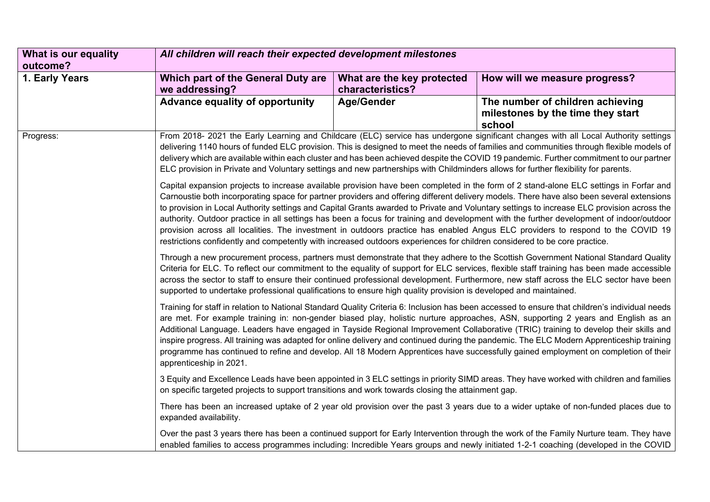| What is our equality<br>outcome?                                                                                                                                                                                                                                                                                                                                                                                                                                                                                                                                                                                                                                                                                                        | All children will reach their expected development milestones                                                                                                                                                                                                                                                                                                                                                                                                                                                                                                                                                                                                                                                                                                                                                                                                                                                                                                                                                                                                                                                                                                                                                                                                                                                                                                                                                                                                                                                                                                                                                                                                                                                                                                                                                                                                                                                                                                    |                                                |                                                                                 |  |  |
|-----------------------------------------------------------------------------------------------------------------------------------------------------------------------------------------------------------------------------------------------------------------------------------------------------------------------------------------------------------------------------------------------------------------------------------------------------------------------------------------------------------------------------------------------------------------------------------------------------------------------------------------------------------------------------------------------------------------------------------------|------------------------------------------------------------------------------------------------------------------------------------------------------------------------------------------------------------------------------------------------------------------------------------------------------------------------------------------------------------------------------------------------------------------------------------------------------------------------------------------------------------------------------------------------------------------------------------------------------------------------------------------------------------------------------------------------------------------------------------------------------------------------------------------------------------------------------------------------------------------------------------------------------------------------------------------------------------------------------------------------------------------------------------------------------------------------------------------------------------------------------------------------------------------------------------------------------------------------------------------------------------------------------------------------------------------------------------------------------------------------------------------------------------------------------------------------------------------------------------------------------------------------------------------------------------------------------------------------------------------------------------------------------------------------------------------------------------------------------------------------------------------------------------------------------------------------------------------------------------------------------------------------------------------------------------------------------------------|------------------------------------------------|---------------------------------------------------------------------------------|--|--|
| 1. Early Years                                                                                                                                                                                                                                                                                                                                                                                                                                                                                                                                                                                                                                                                                                                          | Which part of the General Duty are<br>we addressing?                                                                                                                                                                                                                                                                                                                                                                                                                                                                                                                                                                                                                                                                                                                                                                                                                                                                                                                                                                                                                                                                                                                                                                                                                                                                                                                                                                                                                                                                                                                                                                                                                                                                                                                                                                                                                                                                                                             | What are the key protected<br>characteristics? | How will we measure progress?                                                   |  |  |
|                                                                                                                                                                                                                                                                                                                                                                                                                                                                                                                                                                                                                                                                                                                                         | <b>Advance equality of opportunity</b>                                                                                                                                                                                                                                                                                                                                                                                                                                                                                                                                                                                                                                                                                                                                                                                                                                                                                                                                                                                                                                                                                                                                                                                                                                                                                                                                                                                                                                                                                                                                                                                                                                                                                                                                                                                                                                                                                                                           | <b>Age/Gender</b>                              | The number of children achieving<br>milestones by the time they start<br>school |  |  |
| Progress:                                                                                                                                                                                                                                                                                                                                                                                                                                                                                                                                                                                                                                                                                                                               | From 2018- 2021 the Early Learning and Childcare (ELC) service has undergone significant changes with all Local Authority settings<br>delivering 1140 hours of funded ELC provision. This is designed to meet the needs of families and communities through flexible models of<br>delivery which are available within each cluster and has been achieved despite the COVID 19 pandemic. Further commitment to our partner<br>ELC provision in Private and Voluntary settings and new partnerships with Childminders allows for further flexibility for parents.<br>Capital expansion projects to increase available provision have been completed in the form of 2 stand-alone ELC settings in Forfar and<br>Carnoustie both incorporating space for partner providers and offering different delivery models. There have also been several extensions<br>to provision in Local Authority settings and Capital Grants awarded to Private and Voluntary settings to increase ELC provision across the<br>authority. Outdoor practice in all settings has been a focus for training and development with the further development of indoor/outdoor<br>provision across all localities. The investment in outdoors practice has enabled Angus ELC providers to respond to the COVID 19<br>restrictions confidently and competently with increased outdoors experiences for children considered to be core practice.<br>Through a new procurement process, partners must demonstrate that they adhere to the Scottish Government National Standard Quality<br>Criteria for ELC. To reflect our commitment to the equality of support for ELC services, flexible staff training has been made accessible<br>across the sector to staff to ensure their continued professional development. Furthermore, new staff across the ELC sector have been<br>supported to undertake professional qualifications to ensure high quality provision is developed and maintained. |                                                |                                                                                 |  |  |
|                                                                                                                                                                                                                                                                                                                                                                                                                                                                                                                                                                                                                                                                                                                                         |                                                                                                                                                                                                                                                                                                                                                                                                                                                                                                                                                                                                                                                                                                                                                                                                                                                                                                                                                                                                                                                                                                                                                                                                                                                                                                                                                                                                                                                                                                                                                                                                                                                                                                                                                                                                                                                                                                                                                                  |                                                |                                                                                 |  |  |
|                                                                                                                                                                                                                                                                                                                                                                                                                                                                                                                                                                                                                                                                                                                                         |                                                                                                                                                                                                                                                                                                                                                                                                                                                                                                                                                                                                                                                                                                                                                                                                                                                                                                                                                                                                                                                                                                                                                                                                                                                                                                                                                                                                                                                                                                                                                                                                                                                                                                                                                                                                                                                                                                                                                                  |                                                |                                                                                 |  |  |
| Training for staff in relation to National Standard Quality Criteria 6: Inclusion has been accessed to ensure that children's individual needs<br>are met. For example training in: non-gender biased play, holistic nurture approaches, ASN, supporting 2 years and English as an<br>Additional Language. Leaders have engaged in Tayside Regional Improvement Collaborative (TRIC) training to develop their skills and<br>inspire progress. All training was adapted for online delivery and continued during the pandemic. The ELC Modern Apprenticeship training<br>programme has continued to refine and develop. All 18 Modern Apprentices have successfully gained employment on completion of their<br>apprenticeship in 2021. |                                                                                                                                                                                                                                                                                                                                                                                                                                                                                                                                                                                                                                                                                                                                                                                                                                                                                                                                                                                                                                                                                                                                                                                                                                                                                                                                                                                                                                                                                                                                                                                                                                                                                                                                                                                                                                                                                                                                                                  |                                                |                                                                                 |  |  |
|                                                                                                                                                                                                                                                                                                                                                                                                                                                                                                                                                                                                                                                                                                                                         | 3 Equity and Excellence Leads have been appointed in 3 ELC settings in priority SIMD areas. They have worked with children and families<br>on specific targeted projects to support transitions and work towards closing the attainment gap.                                                                                                                                                                                                                                                                                                                                                                                                                                                                                                                                                                                                                                                                                                                                                                                                                                                                                                                                                                                                                                                                                                                                                                                                                                                                                                                                                                                                                                                                                                                                                                                                                                                                                                                     |                                                |                                                                                 |  |  |
|                                                                                                                                                                                                                                                                                                                                                                                                                                                                                                                                                                                                                                                                                                                                         | There has been an increased uptake of 2 year old provision over the past 3 years due to a wider uptake of non-funded places due to<br>expanded availability.                                                                                                                                                                                                                                                                                                                                                                                                                                                                                                                                                                                                                                                                                                                                                                                                                                                                                                                                                                                                                                                                                                                                                                                                                                                                                                                                                                                                                                                                                                                                                                                                                                                                                                                                                                                                     |                                                |                                                                                 |  |  |
|                                                                                                                                                                                                                                                                                                                                                                                                                                                                                                                                                                                                                                                                                                                                         | Over the past 3 years there has been a continued support for Early Intervention through the work of the Family Nurture team. They have<br>enabled families to access programmes including: Incredible Years groups and newly initiated 1-2-1 coaching (developed in the COVID                                                                                                                                                                                                                                                                                                                                                                                                                                                                                                                                                                                                                                                                                                                                                                                                                                                                                                                                                                                                                                                                                                                                                                                                                                                                                                                                                                                                                                                                                                                                                                                                                                                                                    |                                                |                                                                                 |  |  |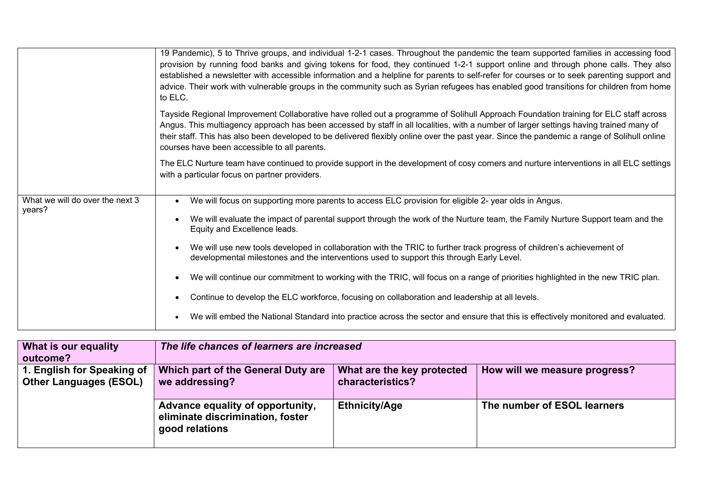|                                           | 19 Pandemic), 5 to Thrive groups, and individual 1-2-1 cases. Throughout the pandemic the team supported families in accessing food<br>provision by running food banks and giving tokens for food, they continued 1-2-1 support online and through phone calls. They also<br>established a newsletter with accessible information and a helpline for parents to self-refer for courses or to seek parenting support and<br>advice. Their work with vulnerable groups in the community such as Syrian refugees has enabled good transitions for children from home<br>to ELC. |  |  |  |  |
|-------------------------------------------|------------------------------------------------------------------------------------------------------------------------------------------------------------------------------------------------------------------------------------------------------------------------------------------------------------------------------------------------------------------------------------------------------------------------------------------------------------------------------------------------------------------------------------------------------------------------------|--|--|--|--|
|                                           | Tayside Regional Improvement Collaborative have rolled out a programme of Solihull Approach Foundation training for ELC staff across<br>Angus. This multiagency approach has been accessed by staff in all localities, with a number of larger settings having trained many of<br>their staff. This has also been developed to be delivered flexibly online over the past year. Since the pandemic a range of Solihull online<br>courses have been accessible to all parents.                                                                                                |  |  |  |  |
|                                           | The ELC Nurture team have continued to provide support in the development of cosy corners and nurture interventions in all ELC settings<br>with a particular focus on partner providers.                                                                                                                                                                                                                                                                                                                                                                                     |  |  |  |  |
| What we will do over the next 3<br>years? | We will focus on supporting more parents to access ELC provision for eligible 2- year olds in Angus.                                                                                                                                                                                                                                                                                                                                                                                                                                                                         |  |  |  |  |
|                                           | We will evaluate the impact of parental support through the work of the Nurture team, the Family Nurture Support team and the<br>Equity and Excellence leads.                                                                                                                                                                                                                                                                                                                                                                                                                |  |  |  |  |
|                                           | We will use new tools developed in collaboration with the TRIC to further track progress of children's achievement of<br>developmental milestones and the interventions used to support this through Early Level.                                                                                                                                                                                                                                                                                                                                                            |  |  |  |  |
|                                           | We will continue our commitment to working with the TRIC, will focus on a range of priorities highlighted in the new TRIC plan.                                                                                                                                                                                                                                                                                                                                                                                                                                              |  |  |  |  |
|                                           | Continue to develop the ELC workforce, focusing on collaboration and leadership at all levels.                                                                                                                                                                                                                                                                                                                                                                                                                                                                               |  |  |  |  |
|                                           | We will embed the National Standard into practice across the sector and ensure that this is effectively monitored and evaluated.                                                                                                                                                                                                                                                                                                                                                                                                                                             |  |  |  |  |

| What is our equality<br>outcome?                            | The life chances of learners are increased                                                             |                      |                               |  |
|-------------------------------------------------------------|--------------------------------------------------------------------------------------------------------|----------------------|-------------------------------|--|
| 1. English for Speaking of<br><b>Other Languages (ESOL)</b> | Which part of the General Duty are<br>What are the key protected<br>characteristics?<br>we addressing? |                      | How will we measure progress? |  |
|                                                             | Advance equality of opportunity,<br>eliminate discrimination, foster<br>good relations                 | <b>Ethnicity/Age</b> | The number of ESOL learners   |  |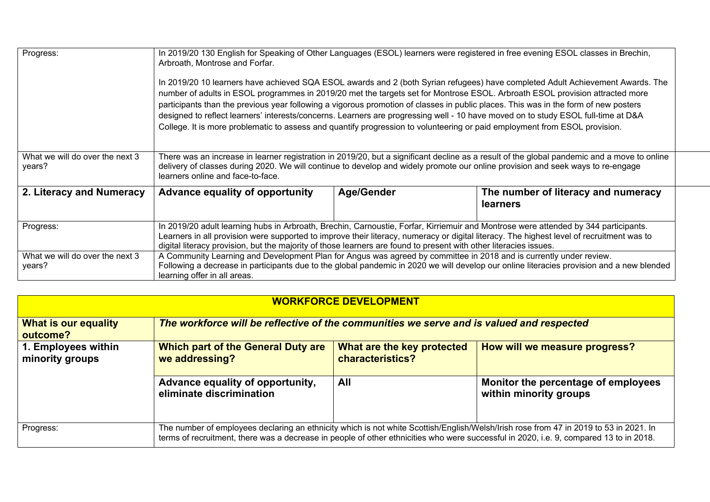| Progress:                                 | In 2019/20 130 English for Speaking of Other Languages (ESOL) learners were registered in free evening ESOL classes in Brechin,<br>Arbroath, Montrose and Forfar.<br>In 2019/20 10 learners have achieved SQA ESOL awards and 2 (both Syrian refugees) have completed Adult Achievement Awards. The<br>number of adults in ESOL programmes in 2019/20 met the targets set for Montrose ESOL. Arbroath ESOL provision attracted more<br>participants than the previous year following a vigorous promotion of classes in public places. This was in the form of new posters<br>designed to reflect learners' interests/concerns. Learners are progressing well - 10 have moved on to study ESOL full-time at D&A<br>College. It is more problematic to assess and quantify progression to volunteering or paid employment from ESOL provision. |                   |                                                 |  |  |
|-------------------------------------------|-----------------------------------------------------------------------------------------------------------------------------------------------------------------------------------------------------------------------------------------------------------------------------------------------------------------------------------------------------------------------------------------------------------------------------------------------------------------------------------------------------------------------------------------------------------------------------------------------------------------------------------------------------------------------------------------------------------------------------------------------------------------------------------------------------------------------------------------------|-------------------|-------------------------------------------------|--|--|
| What we will do over the next 3<br>years? | There was an increase in learner registration in 2019/20, but a significant decline as a result of the global pandemic and a move to online<br>delivery of classes during 2020. We will continue to develop and widely promote our online provision and seek ways to re-engage<br>learners online and face-to-face.                                                                                                                                                                                                                                                                                                                                                                                                                                                                                                                           |                   |                                                 |  |  |
| 2. Literacy and Numeracy                  | Advance equality of opportunity                                                                                                                                                                                                                                                                                                                                                                                                                                                                                                                                                                                                                                                                                                                                                                                                               | <b>Age/Gender</b> | The number of literacy and numeracy<br>learners |  |  |
| Progress:                                 | In 2019/20 adult learning hubs in Arbroath, Brechin, Carnoustie, Forfar, Kirriemuir and Montrose were attended by 344 participants.<br>Learners in all provision were supported to improve their literacy, numeracy or digital literacy. The highest level of recruitment was to<br>digital literacy provision, but the majority of those learners are found to present with other literacies issues.                                                                                                                                                                                                                                                                                                                                                                                                                                         |                   |                                                 |  |  |
| What we will do over the next 3<br>years? | A Community Learning and Development Plan for Angus was agreed by committee in 2018 and is currently under review.<br>Following a decrease in participants due to the global pandemic in 2020 we will develop our online literacies provision and a new blended<br>learning offer in all areas.                                                                                                                                                                                                                                                                                                                                                                                                                                                                                                                                               |                   |                                                 |  |  |

| <b>WORKFORCE DEVELOPMENT</b>            |                                                                                                                                                |     |                                                                                                                                                                                                                                                                                 |  |  |  |
|-----------------------------------------|------------------------------------------------------------------------------------------------------------------------------------------------|-----|---------------------------------------------------------------------------------------------------------------------------------------------------------------------------------------------------------------------------------------------------------------------------------|--|--|--|
| <b>What is our equality</b><br>outcome? | The workforce will be reflective of the communities we serve and is valued and respected                                                       |     |                                                                                                                                                                                                                                                                                 |  |  |  |
| 1. Employees within<br>minority groups  | <b>Which part of the General Duty are</b><br>What are the key protected<br>How will we measure progress?<br>characteristics?<br>we addressing? |     |                                                                                                                                                                                                                                                                                 |  |  |  |
|                                         | Advance equality of opportunity,<br>eliminate discrimination                                                                                   | All | Monitor the percentage of employees<br>within minority groups                                                                                                                                                                                                                   |  |  |  |
| Progress:                               |                                                                                                                                                |     | The number of employees declaring an ethnicity which is not white Scottish/English/Welsh/Irish rose from 47 in 2019 to 53 in 2021. In<br>terms of recruitment, there was a decrease in people of other ethnicities who were successful in 2020, i.e. 9, compared 13 to in 2018. |  |  |  |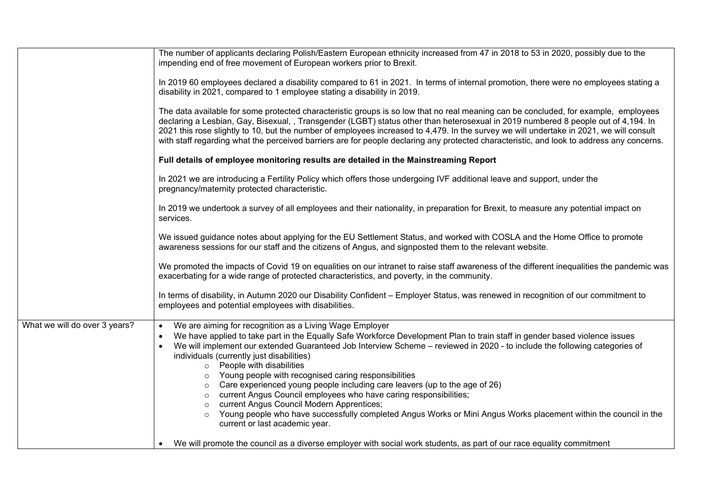|                               | The number of applicants declaring Polish/Eastern European ethnicity increased from 47 in 2018 to 53 in 2020, possibly due to the<br>impending end of free movement of European workers prior to Brexit.                                                                                                                                                                                                                                                                                                                                                                                                                                                                                                                                                                                                                              |  |  |  |  |  |
|-------------------------------|---------------------------------------------------------------------------------------------------------------------------------------------------------------------------------------------------------------------------------------------------------------------------------------------------------------------------------------------------------------------------------------------------------------------------------------------------------------------------------------------------------------------------------------------------------------------------------------------------------------------------------------------------------------------------------------------------------------------------------------------------------------------------------------------------------------------------------------|--|--|--|--|--|
|                               | In 2019 60 employees declared a disability compared to 61 in 2021. In terms of internal promotion, there were no employees stating a<br>disability in 2021, compared to 1 employee stating a disability in 2019.                                                                                                                                                                                                                                                                                                                                                                                                                                                                                                                                                                                                                      |  |  |  |  |  |
|                               | The data available for some protected characteristic groups is so low that no real meaning can be concluded, for example, employees<br>declaring a Lesbian, Gay, Bisexual, , Transgender (LGBT) status other than heterosexual in 2019 numbered 8 people out of 4,194. In<br>2021 this rose slightly to 10, but the number of employees increased to 4,479. In the survey we will undertake in 2021, we will consult<br>with staff regarding what the perceived barriers are for people declaring any protected characteristic, and look to address any concerns.                                                                                                                                                                                                                                                                     |  |  |  |  |  |
|                               | Full details of employee monitoring results are detailed in the Mainstreaming Report                                                                                                                                                                                                                                                                                                                                                                                                                                                                                                                                                                                                                                                                                                                                                  |  |  |  |  |  |
|                               | In 2021 we are introducing a Fertility Policy which offers those undergoing IVF additional leave and support, under the<br>pregnancy/maternity protected characteristic.                                                                                                                                                                                                                                                                                                                                                                                                                                                                                                                                                                                                                                                              |  |  |  |  |  |
|                               | In 2019 we undertook a survey of all employees and their nationality, in preparation for Brexit, to measure any potential impact on<br>services.                                                                                                                                                                                                                                                                                                                                                                                                                                                                                                                                                                                                                                                                                      |  |  |  |  |  |
|                               | We issued guidance notes about applying for the EU Settlement Status, and worked with COSLA and the Home Office to promote<br>awareness sessions for our staff and the citizens of Angus, and signposted them to the relevant website.<br>We promoted the impacts of Covid 19 on equalities on our intranet to raise staff awareness of the different inequalities the pandemic was<br>exacerbating for a wide range of protected characteristics, and poverty, in the community.                                                                                                                                                                                                                                                                                                                                                     |  |  |  |  |  |
|                               |                                                                                                                                                                                                                                                                                                                                                                                                                                                                                                                                                                                                                                                                                                                                                                                                                                       |  |  |  |  |  |
|                               | In terms of disability, in Autumn 2020 our Disability Confident – Employer Status, was renewed in recognition of our commitment to<br>employees and potential employees with disabilities.                                                                                                                                                                                                                                                                                                                                                                                                                                                                                                                                                                                                                                            |  |  |  |  |  |
| What we will do over 3 years? | We are aiming for recognition as a Living Wage Employer<br>We have applied to take part in the Equally Safe Workforce Development Plan to train staff in gender based violence issues<br>$\bullet$<br>We will implement our extended Guaranteed Job Interview Scheme - reviewed in 2020 - to include the following categories of<br>individuals (currently just disabilities)<br>$\circ$ People with disabilities<br>o Young people with recognised caring responsibilities<br>o Care experienced young people including care leavers (up to the age of 26)<br>o current Angus Council employees who have caring responsibilities;<br>current Angus Council Modern Apprentices;<br>Young people who have successfully completed Angus Works or Mini Angus Works placement within the council in the<br>current or last academic year. |  |  |  |  |  |
|                               | We will promote the council as a diverse employer with social work students, as part of our race equality commitment                                                                                                                                                                                                                                                                                                                                                                                                                                                                                                                                                                                                                                                                                                                  |  |  |  |  |  |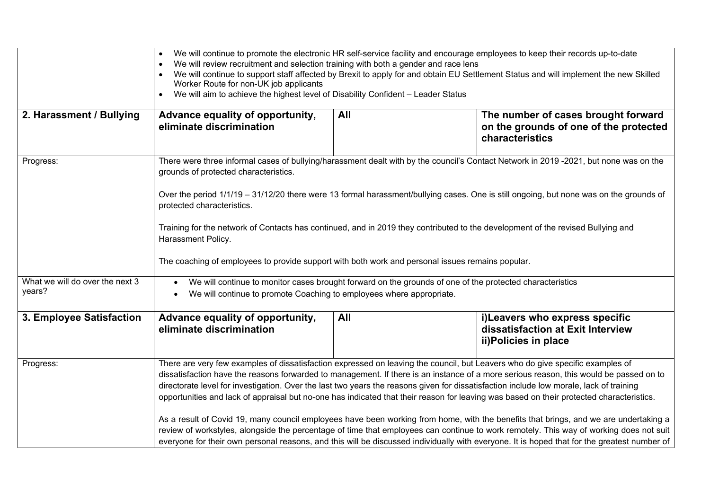|                                           | We will continue to promote the electronic HR self-service facility and encourage employees to keep their records up-to-date<br>We will review recruitment and selection training with both a gender and race lens<br>$\bullet$<br>We will continue to support staff affected by Brexit to apply for and obtain EU Settlement Status and will implement the new Skilled<br>Worker Route for non-UK job applicants<br>We will aim to achieve the highest level of Disability Confident - Leader Status                                                                                                               |     |                                                                                                                                                                                                                                                                                                                                                                                                                                                                                                                                                                                                                                                                                                                     |  |  |  |
|-------------------------------------------|---------------------------------------------------------------------------------------------------------------------------------------------------------------------------------------------------------------------------------------------------------------------------------------------------------------------------------------------------------------------------------------------------------------------------------------------------------------------------------------------------------------------------------------------------------------------------------------------------------------------|-----|---------------------------------------------------------------------------------------------------------------------------------------------------------------------------------------------------------------------------------------------------------------------------------------------------------------------------------------------------------------------------------------------------------------------------------------------------------------------------------------------------------------------------------------------------------------------------------------------------------------------------------------------------------------------------------------------------------------------|--|--|--|
| 2. Harassment / Bullying                  | Advance equality of opportunity,<br>eliminate discrimination                                                                                                                                                                                                                                                                                                                                                                                                                                                                                                                                                        | All | The number of cases brought forward<br>on the grounds of one of the protected<br>characteristics                                                                                                                                                                                                                                                                                                                                                                                                                                                                                                                                                                                                                    |  |  |  |
| Progress:                                 | There were three informal cases of bullying/harassment dealt with by the council's Contact Network in 2019 -2021, but none was on the<br>grounds of protected characteristics.<br>Over the period 1/1/19 - 31/12/20 there were 13 formal harassment/bullying cases. One is still ongoing, but none was on the grounds of<br>protected characteristics.<br>Training for the network of Contacts has continued, and in 2019 they contributed to the development of the revised Bullying and<br>Harassment Policy.<br>The coaching of employees to provide support with both work and personal issues remains popular. |     |                                                                                                                                                                                                                                                                                                                                                                                                                                                                                                                                                                                                                                                                                                                     |  |  |  |
| What we will do over the next 3<br>years? | We will continue to monitor cases brought forward on the grounds of one of the protected characteristics<br>We will continue to promote Coaching to employees where appropriate.                                                                                                                                                                                                                                                                                                                                                                                                                                    |     |                                                                                                                                                                                                                                                                                                                                                                                                                                                                                                                                                                                                                                                                                                                     |  |  |  |
| 3. Employee Satisfaction                  | Advance equality of opportunity,<br>eliminate discrimination                                                                                                                                                                                                                                                                                                                                                                                                                                                                                                                                                        | All | i)Leavers who express specific<br>dissatisfaction at Exit Interview<br>ii)Policies in place                                                                                                                                                                                                                                                                                                                                                                                                                                                                                                                                                                                                                         |  |  |  |
| Progress:                                 | There are very few examples of dissatisfaction expressed on leaving the council, but Leavers who do give specific examples of<br>directorate level for investigation. Over the last two years the reasons given for dissatisfaction include low morale, lack of training                                                                                                                                                                                                                                                                                                                                            |     | dissatisfaction have the reasons forwarded to management. If there is an instance of a more serious reason, this would be passed on to<br>opportunities and lack of appraisal but no-one has indicated that their reason for leaving was based on their protected characteristics.<br>As a result of Covid 19, many council employees have been working from home, with the benefits that brings, and we are undertaking a<br>review of workstyles, alongside the percentage of time that employees can continue to work remotely. This way of working does not suit<br>everyone for their own personal reasons, and this will be discussed individually with everyone. It is hoped that for the greatest number of |  |  |  |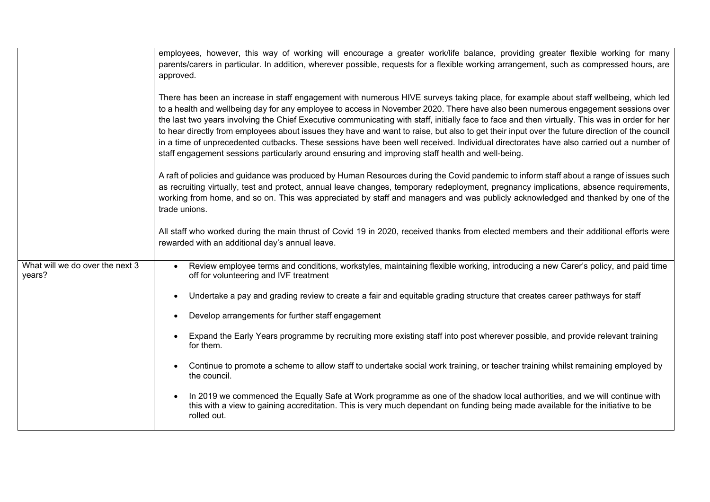|                                           | employees, however, this way of working will encourage a greater work/life balance, providing greater flexible working for many                                                                                                                                                                                                                                                                                                                                                                                                                                                                                                                                                                                                                                                                                               |
|-------------------------------------------|-------------------------------------------------------------------------------------------------------------------------------------------------------------------------------------------------------------------------------------------------------------------------------------------------------------------------------------------------------------------------------------------------------------------------------------------------------------------------------------------------------------------------------------------------------------------------------------------------------------------------------------------------------------------------------------------------------------------------------------------------------------------------------------------------------------------------------|
|                                           | parents/carers in particular. In addition, wherever possible, requests for a flexible working arrangement, such as compressed hours, are<br>approved.                                                                                                                                                                                                                                                                                                                                                                                                                                                                                                                                                                                                                                                                         |
|                                           | There has been an increase in staff engagement with numerous HIVE surveys taking place, for example about staff wellbeing, which led<br>to a health and wellbeing day for any employee to access in November 2020. There have also been numerous engagement sessions over<br>the last two years involving the Chief Executive communicating with staff, initially face to face and then virtually. This was in order for her<br>to hear directly from employees about issues they have and want to raise, but also to get their input over the future direction of the council<br>in a time of unprecedented cutbacks. These sessions have been well received. Individual directorates have also carried out a number of<br>staff engagement sessions particularly around ensuring and improving staff health and well-being. |
|                                           | A raft of policies and guidance was produced by Human Resources during the Covid pandemic to inform staff about a range of issues such<br>as recruiting virtually, test and protect, annual leave changes, temporary redeployment, pregnancy implications, absence requirements,<br>working from home, and so on. This was appreciated by staff and managers and was publicly acknowledged and thanked by one of the<br>trade unions.                                                                                                                                                                                                                                                                                                                                                                                         |
|                                           | All staff who worked during the main thrust of Covid 19 in 2020, received thanks from elected members and their additional efforts were<br>rewarded with an additional day's annual leave.                                                                                                                                                                                                                                                                                                                                                                                                                                                                                                                                                                                                                                    |
| What will we do over the next 3<br>years? | Review employee terms and conditions, workstyles, maintaining flexible working, introducing a new Carer's policy, and paid time<br>off for volunteering and IVF treatment                                                                                                                                                                                                                                                                                                                                                                                                                                                                                                                                                                                                                                                     |
|                                           | Undertake a pay and grading review to create a fair and equitable grading structure that creates career pathways for staff                                                                                                                                                                                                                                                                                                                                                                                                                                                                                                                                                                                                                                                                                                    |
|                                           | Develop arrangements for further staff engagement                                                                                                                                                                                                                                                                                                                                                                                                                                                                                                                                                                                                                                                                                                                                                                             |
|                                           | Expand the Early Years programme by recruiting more existing staff into post wherever possible, and provide relevant training<br>for them.                                                                                                                                                                                                                                                                                                                                                                                                                                                                                                                                                                                                                                                                                    |
|                                           | Continue to promote a scheme to allow staff to undertake social work training, or teacher training whilst remaining employed by<br>the council.                                                                                                                                                                                                                                                                                                                                                                                                                                                                                                                                                                                                                                                                               |
|                                           | In 2019 we commenced the Equally Safe at Work programme as one of the shadow local authorities, and we will continue with<br>this with a view to gaining accreditation. This is very much dependant on funding being made available for the initiative to be<br>rolled out.                                                                                                                                                                                                                                                                                                                                                                                                                                                                                                                                                   |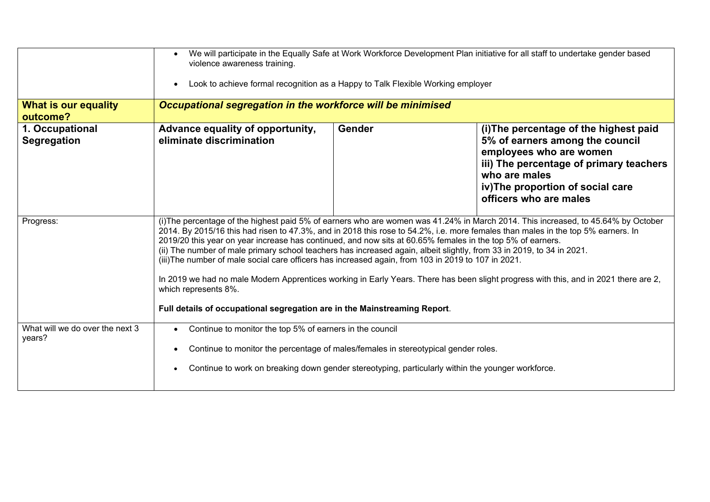|                                           | We will participate in the Equally Safe at Work Workforce Development Plan initiative for all staff to undertake gender based<br>$\bullet$<br>violence awareness training.<br>Look to achieve formal recognition as a Happy to Talk Flexible Working employer                                                                                                                                                                                                                                                                                                                      |               |                                                                                                                                                                                                                                                                           |  |  |
|-------------------------------------------|------------------------------------------------------------------------------------------------------------------------------------------------------------------------------------------------------------------------------------------------------------------------------------------------------------------------------------------------------------------------------------------------------------------------------------------------------------------------------------------------------------------------------------------------------------------------------------|---------------|---------------------------------------------------------------------------------------------------------------------------------------------------------------------------------------------------------------------------------------------------------------------------|--|--|
| What is our equality<br>outcome?          | Occupational segregation in the workforce will be minimised                                                                                                                                                                                                                                                                                                                                                                                                                                                                                                                        |               |                                                                                                                                                                                                                                                                           |  |  |
| 1. Occupational<br><b>Segregation</b>     | Advance equality of opportunity,<br>eliminate discrimination                                                                                                                                                                                                                                                                                                                                                                                                                                                                                                                       | <b>Gender</b> | (i) The percentage of the highest paid<br>5% of earners among the council<br>employees who are women<br>iii) The percentage of primary teachers<br>who are males<br>iv) The proportion of social care<br>officers who are males                                           |  |  |
| Progress:                                 | 2014. By 2015/16 this had risen to 47.3%, and in 2018 this rose to 54.2%, i.e. more females than males in the top 5% earners. In<br>2019/20 this year on year increase has continued, and now sits at 60.65% females in the top 5% of earners.<br>(ii) The number of male primary school teachers has increased again, albeit slightly, from 33 in 2019, to 34 in 2021.<br>(iii)The number of male social care officers has increased again, from 103 in 2019 to 107 in 2021.<br>which represents 8%.<br>Full details of occupational segregation are in the Mainstreaming Report. |               | (i) The percentage of the highest paid 5% of earners who are women was 41.24% in March 2014. This increased, to 45.64% by October<br>In 2019 we had no male Modern Apprentices working in Early Years. There has been slight progress with this, and in 2021 there are 2, |  |  |
| What will we do over the next 3<br>years? | Continue to monitor the top 5% of earners in the council<br>$\bullet$<br>Continue to monitor the percentage of males/females in stereotypical gender roles.<br>Continue to work on breaking down gender stereotyping, particularly within the younger workforce.                                                                                                                                                                                                                                                                                                                   |               |                                                                                                                                                                                                                                                                           |  |  |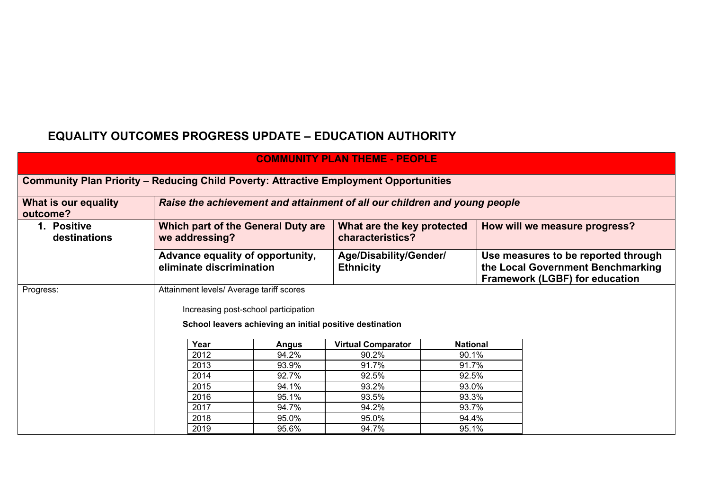# **EQUALITY OUTCOMES PROGRESS UPDATE – EDUCATION AUTHORITY**

|                                                                                              |                                                                                                                                                |                                                                                                  | <b>COMMUNITY PLAN THEME - PEOPLE</b>       |                 |                                                                                                                   |  |  |  |
|----------------------------------------------------------------------------------------------|------------------------------------------------------------------------------------------------------------------------------------------------|--------------------------------------------------------------------------------------------------|--------------------------------------------|-----------------|-------------------------------------------------------------------------------------------------------------------|--|--|--|
| <b>Community Plan Priority - Reducing Child Poverty: Attractive Employment Opportunities</b> |                                                                                                                                                |                                                                                                  |                                            |                 |                                                                                                                   |  |  |  |
| What is our equality<br>outcome?                                                             |                                                                                                                                                | Raise the achievement and attainment of all our children and young people                        |                                            |                 |                                                                                                                   |  |  |  |
| 1. Positive<br>destinations                                                                  | <b>Which part of the General Duty are</b><br>What are the key protected<br>How will we measure progress?<br>we addressing?<br>characteristics? |                                                                                                  |                                            |                 |                                                                                                                   |  |  |  |
|                                                                                              | Advance equality of opportunity,<br>eliminate discrimination                                                                                   |                                                                                                  | Age/Disability/Gender/<br><b>Ethnicity</b> |                 | Use measures to be reported through<br>the Local Government Benchmarking<br><b>Framework (LGBF) for education</b> |  |  |  |
| Progress:                                                                                    | Attainment levels/ Average tariff scores                                                                                                       | Increasing post-school participation<br>School leavers achieving an initial positive destination |                                            |                 |                                                                                                                   |  |  |  |
|                                                                                              | Year                                                                                                                                           | <b>Angus</b>                                                                                     | <b>Virtual Comparator</b>                  | <b>National</b> |                                                                                                                   |  |  |  |
|                                                                                              | 2012                                                                                                                                           | 94.2%                                                                                            | 90.2%                                      | 90.1%           |                                                                                                                   |  |  |  |
|                                                                                              | 2013                                                                                                                                           | 93.9%                                                                                            | 91.7%                                      | 91.7%           |                                                                                                                   |  |  |  |
|                                                                                              | 2014                                                                                                                                           | 92.7%                                                                                            | 92.5%                                      | 92.5%           |                                                                                                                   |  |  |  |
|                                                                                              | 2015                                                                                                                                           | 94.1%                                                                                            | 93.2%                                      | 93.0%           |                                                                                                                   |  |  |  |
|                                                                                              | 2016                                                                                                                                           | 95.1%                                                                                            | 93.5%                                      | 93.3%           |                                                                                                                   |  |  |  |
|                                                                                              | 2017                                                                                                                                           | 94.7%                                                                                            | 94.2%                                      | 93.7%           |                                                                                                                   |  |  |  |
|                                                                                              | 2018                                                                                                                                           | 95.0%                                                                                            | 95.0%                                      | 94.4%           |                                                                                                                   |  |  |  |
|                                                                                              | 2019                                                                                                                                           | 95.6%                                                                                            | 94.7%                                      | 95.1%           |                                                                                                                   |  |  |  |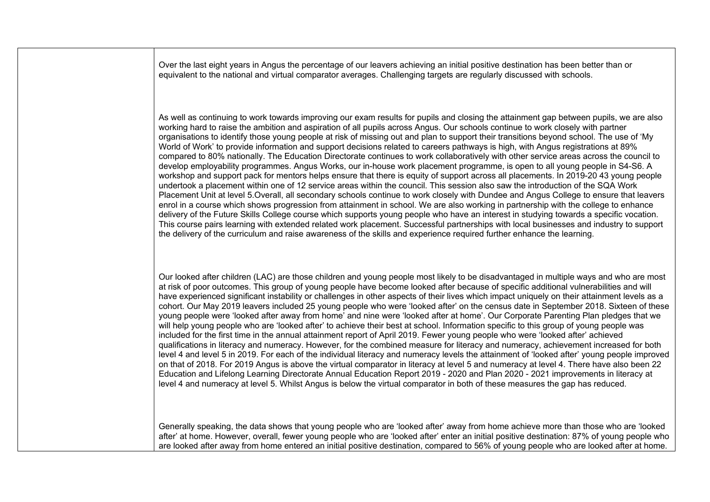Over the last eight years in Angus the percentage of our leavers achieving an initial positive destination has been better than or equivalent to the national and virtual comparator averages. Challenging targets are regularly discussed with schools.

As well as continuing to work towards improving our exam results for pupils and closing the attainment gap between pupils, we are also working hard to raise the ambition and aspiration of all pupils across Angus. Our schools continue to work closely with partner organisations to identify those young people at risk of missing out and plan to support their transitions beyond school. The use of 'My World of Work' to provide information and support decisions related to careers pathways is high, with Angus registrations at 89% compared to 80% nationally. The Education Directorate continues to work collaboratively with other service areas across the council to develop employability programmes. Angus Works, our in-house work placement programme, is open to all young people in S4-S6. A workshop and support pack for mentors helps ensure that there is equity of support across all placements. In 2019-20 43 young people undertook a placement within one of 12 service areas within the council. This session also saw the introduction of the SQA Work Placement Unit at level 5.Overall, all secondary schools continue to work closely with Dundee and Angus College to ensure that leavers enrol in a course which shows progression from attainment in school. We are also working in partnership with the college to enhance delivery of the Future Skills College course which supports young people who have an interest in studying towards a specific vocation. This course pairs learning with extended related work placement. Successful partnerships with local businesses and industry to support the delivery of the curriculum and raise awareness of the skills and experience required further enhance the learning.

Our looked after children (LAC) are those children and young people most likely to be disadvantaged in multiple ways and who are most at risk of poor outcomes. This group of young people have become looked after because of specific additional vulnerabilities and will have experienced significant instability or challenges in other aspects of their lives which impact uniquely on their attainment levels as a cohort. Our May 2019 leavers included 25 young people who were 'looked after' on the census date in September 2018. Sixteen of these young people were 'looked after away from home' and nine were 'looked after at home'. Our Corporate Parenting Plan pledges that we will help young people who are 'looked after' to achieve their best at school. Information specific to this group of young people was included for the first time in the annual attainment report of April 2019. Fewer young people who were 'looked after' achieved qualifications in literacy and numeracy. However, for the combined measure for literacy and numeracy, achievement increased for both level 4 and level 5 in 2019. For each of the individual literacy and numeracy levels the attainment of 'looked after' young people improved on that of 2018. For 2019 Angus is above the virtual comparator in literacy at level 5 and numeracy at level 4. There have also been 22 Education and Lifelong Learning Directorate Annual Education Report 2019 - 2020 and Plan 2020 - 2021 improvements in literacy at level 4 and numeracy at level 5. Whilst Angus is below the virtual comparator in both of these measures the gap has reduced.

Generally speaking, the data shows that young people who are 'looked after' away from home achieve more than those who are 'looked after' at home. However, overall, fewer young people who are 'looked after' enter an initial positive destination: 87% of young people who are looked after away from home entered an initial positive destination, compared to 56% of young people who are looked after at home.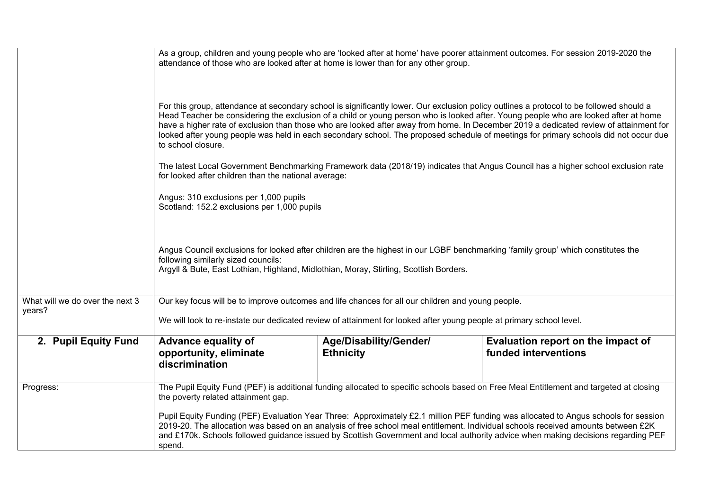|                                           | attendance of those who are looked after at home is lower than for any other group.                                                                                                                                                                                                                                                                                                                                                                                                                                                                                                                                                                                                                                                                                                |                                            | As a group, children and young people who are 'looked after at home' have poorer attainment outcomes. For session 2019-2020 the        |  |  |  |
|-------------------------------------------|------------------------------------------------------------------------------------------------------------------------------------------------------------------------------------------------------------------------------------------------------------------------------------------------------------------------------------------------------------------------------------------------------------------------------------------------------------------------------------------------------------------------------------------------------------------------------------------------------------------------------------------------------------------------------------------------------------------------------------------------------------------------------------|--------------------------------------------|----------------------------------------------------------------------------------------------------------------------------------------|--|--|--|
|                                           | For this group, attendance at secondary school is significantly lower. Our exclusion policy outlines a protocol to be followed should a<br>Head Teacher be considering the exclusion of a child or young person who is looked after. Young people who are looked after at home<br>have a higher rate of exclusion than those who are looked after away from home. In December 2019 a dedicated review of attainment for<br>looked after young people was held in each secondary school. The proposed schedule of meetings for primary schools did not occur due<br>to school closure.<br>The latest Local Government Benchmarking Framework data (2018/19) indicates that Angus Council has a higher school exclusion rate<br>for looked after children than the national average: |                                            |                                                                                                                                        |  |  |  |
|                                           |                                                                                                                                                                                                                                                                                                                                                                                                                                                                                                                                                                                                                                                                                                                                                                                    |                                            |                                                                                                                                        |  |  |  |
|                                           | Angus: 310 exclusions per 1,000 pupils<br>Scotland: 152.2 exclusions per 1,000 pupils                                                                                                                                                                                                                                                                                                                                                                                                                                                                                                                                                                                                                                                                                              |                                            |                                                                                                                                        |  |  |  |
|                                           | Angus Council exclusions for looked after children are the highest in our LGBF benchmarking 'family group' which constitutes the<br>following similarly sized councils:<br>Argyll & Bute, East Lothian, Highland, Midlothian, Moray, Stirling, Scottish Borders.                                                                                                                                                                                                                                                                                                                                                                                                                                                                                                                   |                                            |                                                                                                                                        |  |  |  |
| What will we do over the next 3<br>years? | Our key focus will be to improve outcomes and life chances for all our children and young people.<br>We will look to re-instate our dedicated review of attainment for looked after young people at primary school level.                                                                                                                                                                                                                                                                                                                                                                                                                                                                                                                                                          |                                            |                                                                                                                                        |  |  |  |
| 2. Pupil Equity Fund                      | <b>Advance equality of</b><br>opportunity, eliminate<br>discrimination                                                                                                                                                                                                                                                                                                                                                                                                                                                                                                                                                                                                                                                                                                             | Age/Disability/Gender/<br><b>Ethnicity</b> | Evaluation report on the impact of<br>funded interventions                                                                             |  |  |  |
| Progress:                                 | the poverty related attainment gap.                                                                                                                                                                                                                                                                                                                                                                                                                                                                                                                                                                                                                                                                                                                                                |                                            | The Pupil Equity Fund (PEF) is additional funding allocated to specific schools based on Free Meal Entitlement and targeted at closing |  |  |  |
|                                           | Pupil Equity Funding (PEF) Evaluation Year Three: Approximately £2.1 million PEF funding was allocated to Angus schools for session<br>2019-20. The allocation was based on an analysis of free school meal entitlement. Individual schools received amounts between £2K<br>and £170k. Schools followed guidance issued by Scottish Government and local authority advice when making decisions regarding PEF<br>spend.                                                                                                                                                                                                                                                                                                                                                            |                                            |                                                                                                                                        |  |  |  |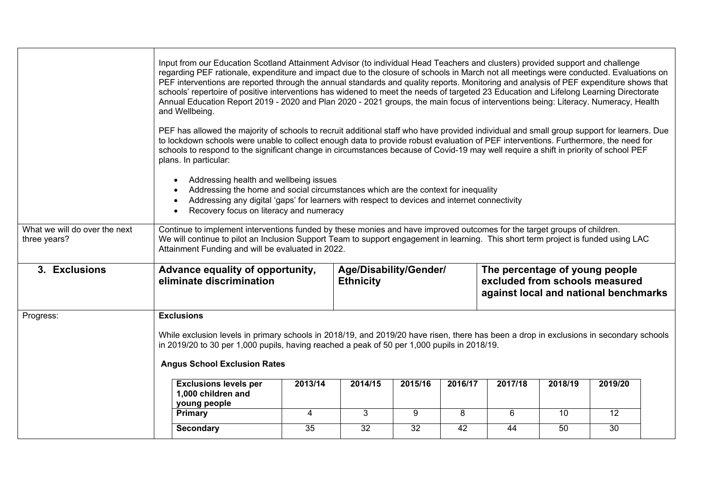|                                               | Input from our Education Scotland Attainment Advisor (to individual Head Teachers and clusters) provided support and challenge<br>regarding PEF rationale, expenditure and impact due to the closure of schools in March not all meetings were conducted. Evaluations on<br>PEF interventions are reported through the annual standards and quality reports. Monitoring and analysis of PEF expenditure shows that<br>schools' repertoire of positive interventions has widened to meet the needs of targeted 23 Education and Lifelong Learning Directorate<br>Annual Education Report 2019 - 2020 and Plan 2020 - 2021 groups, the main focus of interventions being: Literacy. Numeracy, Health<br>and Wellbeing.<br>PEF has allowed the majority of schools to recruit additional staff who have provided individual and small group support for learners. Due |         |         |         |         |         |         |                   |  |
|-----------------------------------------------|--------------------------------------------------------------------------------------------------------------------------------------------------------------------------------------------------------------------------------------------------------------------------------------------------------------------------------------------------------------------------------------------------------------------------------------------------------------------------------------------------------------------------------------------------------------------------------------------------------------------------------------------------------------------------------------------------------------------------------------------------------------------------------------------------------------------------------------------------------------------|---------|---------|---------|---------|---------|---------|-------------------|--|
|                                               | to lockdown schools were unable to collect enough data to provide robust evaluation of PEF interventions. Furthermore, the need for<br>schools to respond to the significant change in circumstances because of Covid-19 may well require a shift in priority of school PEF<br>plans. In particular:                                                                                                                                                                                                                                                                                                                                                                                                                                                                                                                                                               |         |         |         |         |         |         |                   |  |
|                                               | Addressing health and wellbeing issues<br>Addressing the home and social circumstances which are the context for inequality<br>Addressing any digital 'gaps' for learners with respect to devices and internet connectivity<br>Recovery focus on literacy and numeracy                                                                                                                                                                                                                                                                                                                                                                                                                                                                                                                                                                                             |         |         |         |         |         |         |                   |  |
| What we will do over the next<br>three years? | Continue to implement interventions funded by these monies and have improved outcomes for the target groups of children.<br>We will continue to pilot an Inclusion Support Team to support engagement in learning. This short term project is funded using LAC<br>Attainment Funding and will be evaluated in 2022.                                                                                                                                                                                                                                                                                                                                                                                                                                                                                                                                                |         |         |         |         |         |         |                   |  |
| 3. Exclusions                                 | Advance equality of opportunity,<br>Age/Disability/Gender/<br>The percentage of young people<br>eliminate discrimination<br>excluded from schools measured<br><b>Ethnicity</b><br>against local and national benchmarks                                                                                                                                                                                                                                                                                                                                                                                                                                                                                                                                                                                                                                            |         |         |         |         |         |         |                   |  |
| Progress:                                     | <b>Exclusions</b><br>While exclusion levels in primary schools in 2018/19, and 2019/20 have risen, there has been a drop in exclusions in secondary schools<br>in 2019/20 to 30 per 1,000 pupils, having reached a peak of 50 per 1,000 pupils in 2018/19.<br><b>Angus School Exclusion Rates</b>                                                                                                                                                                                                                                                                                                                                                                                                                                                                                                                                                                  |         |         |         |         |         |         |                   |  |
|                                               | <b>Exclusions levels per</b><br>1,000 children and<br>young people                                                                                                                                                                                                                                                                                                                                                                                                                                                                                                                                                                                                                                                                                                                                                                                                 | 2013/14 | 2014/15 | 2015/16 | 2016/17 | 2017/18 | 2018/19 | 2019/20           |  |
|                                               | <b>Primary</b>                                                                                                                                                                                                                                                                                                                                                                                                                                                                                                                                                                                                                                                                                                                                                                                                                                                     | 4       | 3       | 9       | 8       | 6       | 10      | $12 \overline{ }$ |  |
|                                               | <b>Secondary</b>                                                                                                                                                                                                                                                                                                                                                                                                                                                                                                                                                                                                                                                                                                                                                                                                                                                   | 35      | 32      | 32      | 42      | 44      | 50      | 30                |  |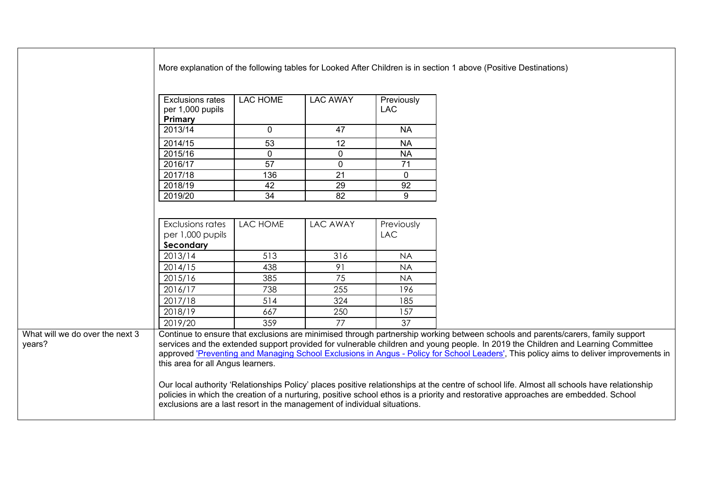|                                           |                                                                                                               |             |                 |                          | More explanation of the following tables for Looked After Children is in section 1 above (Positive Destinations)                                                                                                                                                                                                                                                                                                                                                                                                                                                                                                                                                                                   |
|-------------------------------------------|---------------------------------------------------------------------------------------------------------------|-------------|-----------------|--------------------------|----------------------------------------------------------------------------------------------------------------------------------------------------------------------------------------------------------------------------------------------------------------------------------------------------------------------------------------------------------------------------------------------------------------------------------------------------------------------------------------------------------------------------------------------------------------------------------------------------------------------------------------------------------------------------------------------------|
|                                           |                                                                                                               |             |                 |                          |                                                                                                                                                                                                                                                                                                                                                                                                                                                                                                                                                                                                                                                                                                    |
|                                           | <b>Exclusions rates</b><br>per 1,000 pupils<br><b>Primary</b>                                                 | LAC HOME    | <b>LAC AWAY</b> | Previously<br><b>LAC</b> |                                                                                                                                                                                                                                                                                                                                                                                                                                                                                                                                                                                                                                                                                                    |
|                                           | 2013/14                                                                                                       | 0           | 47              | <b>NA</b>                |                                                                                                                                                                                                                                                                                                                                                                                                                                                                                                                                                                                                                                                                                                    |
|                                           | 2014/15                                                                                                       | 53          | 12              | <b>NA</b>                |                                                                                                                                                                                                                                                                                                                                                                                                                                                                                                                                                                                                                                                                                                    |
|                                           | 2015/16                                                                                                       | $\mathbf 0$ | $\mathbf 0$     | <b>NA</b>                |                                                                                                                                                                                                                                                                                                                                                                                                                                                                                                                                                                                                                                                                                                    |
|                                           | 2016/17                                                                                                       | 57          | $\mathbf 0$     | 71                       |                                                                                                                                                                                                                                                                                                                                                                                                                                                                                                                                                                                                                                                                                                    |
|                                           | 2017/18                                                                                                       | 136         | 21              | 0                        |                                                                                                                                                                                                                                                                                                                                                                                                                                                                                                                                                                                                                                                                                                    |
|                                           | 2018/19                                                                                                       | 42          | 29              | 92                       |                                                                                                                                                                                                                                                                                                                                                                                                                                                                                                                                                                                                                                                                                                    |
|                                           | 2019/20                                                                                                       | 34          | 82              | 9                        |                                                                                                                                                                                                                                                                                                                                                                                                                                                                                                                                                                                                                                                                                                    |
|                                           |                                                                                                               |             |                 |                          |                                                                                                                                                                                                                                                                                                                                                                                                                                                                                                                                                                                                                                                                                                    |
|                                           | Exclusions rates<br>per 1,000 pupils                                                                          | LAC HOME    | <b>LAC AWAY</b> | Previously<br><b>LAC</b> |                                                                                                                                                                                                                                                                                                                                                                                                                                                                                                                                                                                                                                                                                                    |
|                                           | Secondary                                                                                                     |             |                 |                          |                                                                                                                                                                                                                                                                                                                                                                                                                                                                                                                                                                                                                                                                                                    |
|                                           | 2013/14                                                                                                       | 513         | 316             | <b>NA</b>                |                                                                                                                                                                                                                                                                                                                                                                                                                                                                                                                                                                                                                                                                                                    |
|                                           | 2014/15                                                                                                       | 438         | 91              | <b>NA</b>                |                                                                                                                                                                                                                                                                                                                                                                                                                                                                                                                                                                                                                                                                                                    |
|                                           | 2015/16                                                                                                       | 385         | 75              | <b>NA</b>                |                                                                                                                                                                                                                                                                                                                                                                                                                                                                                                                                                                                                                                                                                                    |
|                                           | 2016/17                                                                                                       | 738         | 255             | 196                      |                                                                                                                                                                                                                                                                                                                                                                                                                                                                                                                                                                                                                                                                                                    |
|                                           | 2017/18                                                                                                       | 514         | 324             | 185                      |                                                                                                                                                                                                                                                                                                                                                                                                                                                                                                                                                                                                                                                                                                    |
|                                           | 2018/19                                                                                                       | 667         | 250             | 157                      |                                                                                                                                                                                                                                                                                                                                                                                                                                                                                                                                                                                                                                                                                                    |
|                                           | 2019/20                                                                                                       | 359         | $\overline{77}$ | 37                       |                                                                                                                                                                                                                                                                                                                                                                                                                                                                                                                                                                                                                                                                                                    |
| What will we do over the next 3<br>years? | this area for all Angus learners.<br>exclusions are a last resort in the management of individual situations. |             |                 |                          | Continue to ensure that exclusions are minimised through partnership working between schools and parents/carers, family support<br>services and the extended support provided for vulnerable children and young people. In 2019 the Children and Learning Committee<br>approved 'Preventing and Managing School Exclusions in Angus - Policy for School Leaders', This policy aims to deliver improvements in<br>Our local authority 'Relationships Policy' places positive relationships at the centre of school life. Almost all schools have relationship<br>policies in which the creation of a nurturing, positive school ethos is a priority and restorative approaches are embedded. School |
|                                           |                                                                                                               |             |                 |                          |                                                                                                                                                                                                                                                                                                                                                                                                                                                                                                                                                                                                                                                                                                    |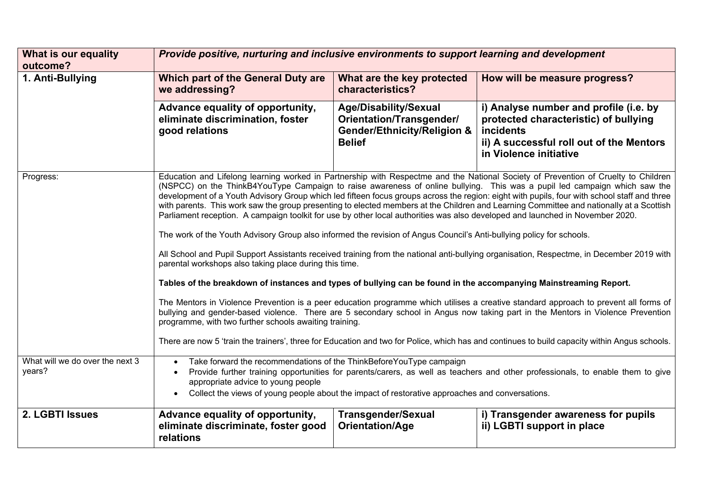| What is our equality<br>outcome?                                                                                                                                                                                                                                                                                                  | Provide positive, nurturing and inclusive environments to support learning and development                                                                                                                                                                                                                                                                                                                                                                                                                                                                                                                                                                                                                                                                                                                         |                                                                                                          |                                                                                                                                                                    |  |  |  |  |
|-----------------------------------------------------------------------------------------------------------------------------------------------------------------------------------------------------------------------------------------------------------------------------------------------------------------------------------|--------------------------------------------------------------------------------------------------------------------------------------------------------------------------------------------------------------------------------------------------------------------------------------------------------------------------------------------------------------------------------------------------------------------------------------------------------------------------------------------------------------------------------------------------------------------------------------------------------------------------------------------------------------------------------------------------------------------------------------------------------------------------------------------------------------------|----------------------------------------------------------------------------------------------------------|--------------------------------------------------------------------------------------------------------------------------------------------------------------------|--|--|--|--|
| 1. Anti-Bullying                                                                                                                                                                                                                                                                                                                  | Which part of the General Duty are<br>we addressing?                                                                                                                                                                                                                                                                                                                                                                                                                                                                                                                                                                                                                                                                                                                                                               | What are the key protected<br>characteristics?                                                           | How will be measure progress?                                                                                                                                      |  |  |  |  |
|                                                                                                                                                                                                                                                                                                                                   | Advance equality of opportunity,<br>eliminate discrimination, foster<br>good relations                                                                                                                                                                                                                                                                                                                                                                                                                                                                                                                                                                                                                                                                                                                             | <b>Age/Disability/Sexual</b><br>Orientation/Transgender/<br>Gender/Ethnicity/Religion &<br><b>Belief</b> | i) Analyse number and profile (i.e. by<br>protected characteristic) of bullying<br>incidents<br>ii) A successful roll out of the Mentors<br>in Violence initiative |  |  |  |  |
| Progress:                                                                                                                                                                                                                                                                                                                         | Education and Lifelong learning worked in Partnership with Respectme and the National Society of Prevention of Cruelty to Children<br>(NSPCC) on the ThinkB4YouType Campaign to raise awareness of online bullying. This was a pupil led campaign which saw the<br>development of a Youth Advisory Group which led fifteen focus groups across the region: eight with pupils, four with school staff and three<br>with parents. This work saw the group presenting to elected members at the Children and Learning Committee and nationally at a Scottish<br>Parliament reception. A campaign toolkit for use by other local authorities was also developed and launched in November 2020.<br>The work of the Youth Advisory Group also informed the revision of Angus Council's Anti-bullying policy for schools. |                                                                                                          |                                                                                                                                                                    |  |  |  |  |
|                                                                                                                                                                                                                                                                                                                                   | All School and Pupil Support Assistants received training from the national anti-bullying organisation, Respectme, in December 2019 with<br>parental workshops also taking place during this time.                                                                                                                                                                                                                                                                                                                                                                                                                                                                                                                                                                                                                 |                                                                                                          |                                                                                                                                                                    |  |  |  |  |
|                                                                                                                                                                                                                                                                                                                                   | Tables of the breakdown of instances and types of bullying can be found in the accompanying Mainstreaming Report.                                                                                                                                                                                                                                                                                                                                                                                                                                                                                                                                                                                                                                                                                                  |                                                                                                          |                                                                                                                                                                    |  |  |  |  |
| The Mentors in Violence Prevention is a peer education programme which utilises a creative standard approach to prevent all forms of<br>bullying and gender-based violence. There are 5 secondary school in Angus now taking part in the Mentors in Violence Prevention<br>programme, with two further schools awaiting training. |                                                                                                                                                                                                                                                                                                                                                                                                                                                                                                                                                                                                                                                                                                                                                                                                                    |                                                                                                          |                                                                                                                                                                    |  |  |  |  |
|                                                                                                                                                                                                                                                                                                                                   | There are now 5 'train the trainers', three for Education and two for Police, which has and continues to build capacity within Angus schools.                                                                                                                                                                                                                                                                                                                                                                                                                                                                                                                                                                                                                                                                      |                                                                                                          |                                                                                                                                                                    |  |  |  |  |
| What will we do over the next 3<br>years?                                                                                                                                                                                                                                                                                         | Take forward the recommendations of the ThinkBeforeYouType campaign<br>Provide further training opportunities for parents/carers, as well as teachers and other professionals, to enable them to give<br>appropriate advice to young people<br>Collect the views of young people about the impact of restorative approaches and conversations.                                                                                                                                                                                                                                                                                                                                                                                                                                                                     |                                                                                                          |                                                                                                                                                                    |  |  |  |  |
| 2. LGBTI Issues                                                                                                                                                                                                                                                                                                                   | Advance equality of opportunity,<br><b>Transgender/Sexual</b><br>i) Transgender awareness for pupils<br>eliminate discriminate, foster good<br><b>Orientation/Age</b><br>ii) LGBTI support in place<br>relations                                                                                                                                                                                                                                                                                                                                                                                                                                                                                                                                                                                                   |                                                                                                          |                                                                                                                                                                    |  |  |  |  |